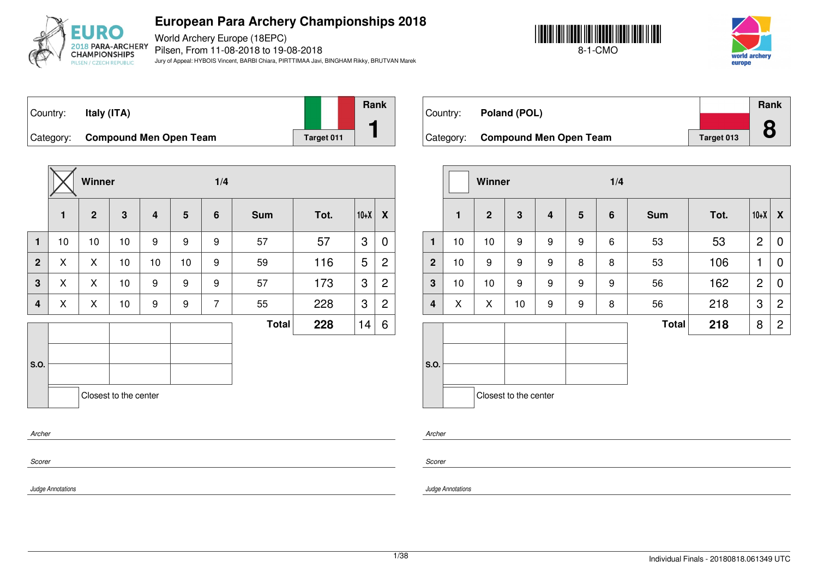

World Archery Europe (18EPC) Pilsen, From 11-08-2018 to 19-08-2018 Jury of Appeal: HYBOIS Vincent, BARBI Chiara, PIRTTIMAA Javi, BINGHAM Rikky, BRUTVAN Marek





Country: **Italy (ITA)** Category: **Compound Men Open Team Target 011 Rank 1**

|                |    | Winner         |                       |    |    | 1/4            |              |      |        |                |
|----------------|----|----------------|-----------------------|----|----|----------------|--------------|------|--------|----------------|
|                | 1  | $\overline{2}$ | $\mathbf{3}$          | 4  | 5  | $6\phantom{1}$ | <b>Sum</b>   | Tot. | $10+X$ | X              |
| $\mathbf{1}$   | 10 | 10             | 10                    | 9  | 9  | 9              | 57           | 57   | 3      | 0              |
| $\overline{2}$ | X  | X              | 10                    | 10 | 10 | 9              | 59           | 116  | 5      | $\overline{2}$ |
| 3              | X  | X              | 10                    | 9  | 9  | 9              | 57           | 173  | 3      | $\overline{c}$ |
| 4              | X  | X              | 10                    | 9  | 9  | $\overline{7}$ | 55           | 228  | 3      | $\overline{c}$ |
|                |    |                |                       |    |    |                | <b>Total</b> | 228  | 14     | 6              |
|                |    |                |                       |    |    |                |              |      |        |                |
| S.O.           |    |                |                       |    |    |                |              |      |        |                |
|                |    |                | Closest to the center |    |    |                |              |      |        |                |
| Archer         |    |                |                       |    |    |                |              |      |        |                |

| Country: | Poland (POL)                     |            | Rank |
|----------|----------------------------------|------------|------|
|          |                                  |            |      |
|          | Category: Compound Men Open Team | Target 013 |      |

|                         |              | Winner         |                       |                         |   | 1/4 |              |      |                |                |
|-------------------------|--------------|----------------|-----------------------|-------------------------|---|-----|--------------|------|----------------|----------------|
|                         | $\mathbf{1}$ | $\overline{2}$ | $\mathbf{3}$          | $\overline{\mathbf{4}}$ | 5 | 6   | <b>Sum</b>   | Tot. | $10+X$         | X              |
| $\mathbf{1}$            | 10           | 10             | 9                     | 9                       | 9 | 6   | 53           | 53   | $\overline{2}$ | $\overline{0}$ |
| $\overline{2}$          | 10           | 9              | 9                     | 9                       | 8 | 8   | 53           | 106  | 1              | 0              |
| $\mathbf{3}$            | 10           | 10             | 9                     | 9                       | 9 | 9   | 56           | 162  | $\overline{2}$ | 0              |
| $\overline{\mathbf{4}}$ | X            | X              | $10$                  | 9                       | 9 | 8   | 56           | 218  | 3              | $\overline{2}$ |
|                         |              |                |                       |                         |   |     | <b>Total</b> | 218  | 8              | $\overline{2}$ |
| S.O.                    |              |                |                       |                         |   |     |              |      |                |                |
|                         |              |                | Closest to the center |                         |   |     |              |      |                |                |

*Archer*

*Scorer*

*Judge Annotations*

*Scorer*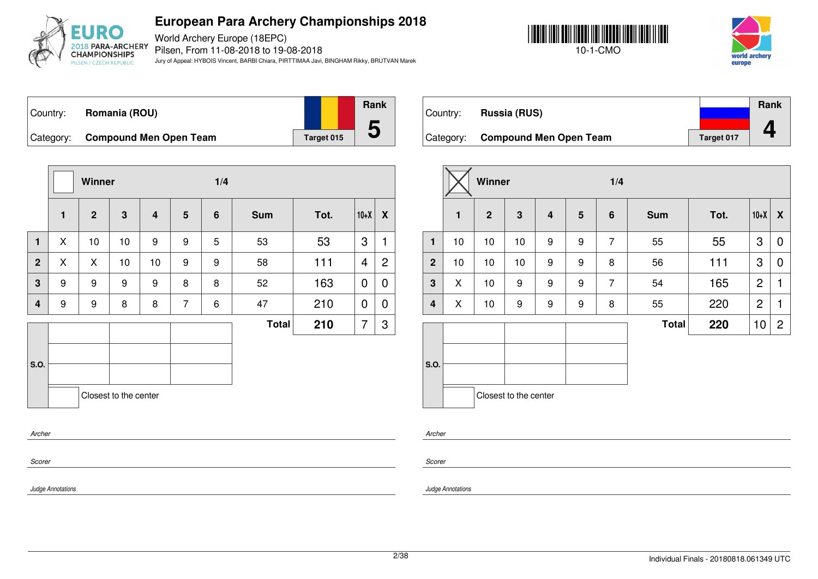

World Archery Europe (18EPC) Pilsen, From 11-08-2018 to 19-08-2018 Jury of Appeal: HYBOIS Vincent, BARBI Chiara, PIRTTIMAA Javi, BINGHAM Rikky, BRUTVAN Marek





Country: **Romania (ROU)** Category: **Compound Men Open Team Ta** 



|           | <b>Rank</b> |
|-----------|-------------|
|           |             |
| arget 015 |             |

Country: **Russia (RUS)** Category: **Compound Men Open Team Target 017 Rank 4**

|                |              | Winner         |                       |                |                | 1/4 |              |      |        |                  |
|----------------|--------------|----------------|-----------------------|----------------|----------------|-----|--------------|------|--------|------------------|
|                | $\mathbf{1}$ | $\overline{2}$ | $\mathbf{3}$          | $\overline{4}$ | $5\phantom{1}$ | 6   | <b>Sum</b>   | Tot. | $10+X$ | $\boldsymbol{X}$ |
| $\mathbf{1}$   | X            | 10             | 10                    | 9              | 9              | 5   | 53           | 53   | 3      | 1                |
| $\overline{2}$ | X            | X              | 10                    | 10             | 9              | 9   | 58           | 111  | 4      | $\overline{2}$   |
| 3              | 9            | 9              | 9                     | 9              | 8              | 8   | 52           | 163  | 0      | $\overline{0}$   |
| 4              | 9            | 9              | 8                     | 8              | $\overline{7}$ | 6   | 47           | 210  | 0      | 0                |
|                |              |                |                       |                |                |     | <b>Total</b> | 210  | 7      | 3                |
| S.O.           |              |                |                       |                |                |     |              |      |        |                  |
|                |              |                | Closest to the center |                |                |     |              |      |        |                  |
| Archer         |              |                |                       |                |                |     |              |      |        |                  |
| Scorer         |              |                |                       |                |                |     |              |      |        |                  |

|                         |                | Winner       |    |                         | 1/4             |                |              |      |                |                |
|-------------------------|----------------|--------------|----|-------------------------|-----------------|----------------|--------------|------|----------------|----------------|
|                         | $\blacksquare$ | $\mathbf{2}$ | 3  | $\overline{\mathbf{4}}$ | $5\phantom{.0}$ | 6              | <b>Sum</b>   | Tot. | $10+X$         | X              |
| $\mathbf{1}$            | 10             | 10           | 10 | 9                       | 9               | $\overline{7}$ | 55           | 55   | 3              | 0              |
| $\mathbf{2}$            | 10             | 10           | 10 | 9                       | 9               | 8              | 56           | 111  | 3              | 0              |
| $\mathbf{3}$            | X              | 10           | 9  | 9                       | 9               | $\overline{7}$ | 54           | 165  | $\overline{2}$ | 1              |
| $\overline{\mathbf{4}}$ | X              | 10           | 9  | 9                       | 9               | 8              | 55           | 220  | $\overline{2}$ | 1              |
|                         |                |              |    |                         |                 |                | <b>Total</b> | 220  | 10             | $\overline{2}$ |
|                         |                |              |    |                         |                 |                |              |      |                |                |
| S.O.                    |                |              |    |                         |                 |                |              |      |                |                |
| Closest to the center   |                |              |    |                         |                 |                |              |      |                |                |

*Archer*

*Scorer*

*Judge Annotations*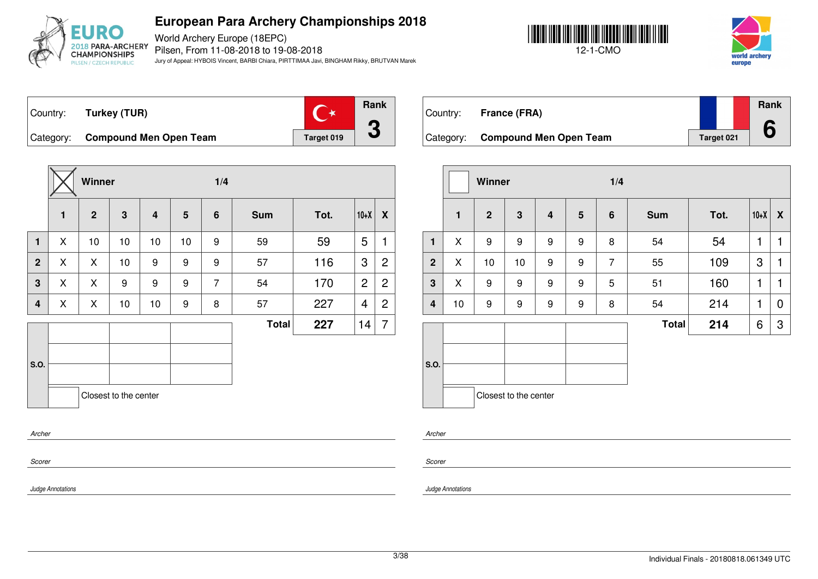

World Archery Europe (18EPC) Pilsen, From 11-08-2018 to 19-08-2018 Jury of Appeal: HYBOIS Vincent, BARBI Chiara, PIRTTIMAA Javi, BINGHAM Rikky, BRUTVAN Marek





Country: **Turkey (TUR)**



Category: **Compound Men Open Team Target 019** 



| Country: | <b>France (FRA)</b>              |            | Rank |
|----------|----------------------------------|------------|------|
|          | Category: Compound Men Open Team | Target 021 |      |

|                         |                       | Winner           |                         |                         |   | 1/4            |              |      |        |   |
|-------------------------|-----------------------|------------------|-------------------------|-------------------------|---|----------------|--------------|------|--------|---|
|                         | $\mathbf{1}$          | $\overline{2}$   | $\overline{\mathbf{3}}$ | $\overline{\mathbf{4}}$ | 5 | 6              | <b>Sum</b>   | Tot. | $10+X$ | X |
| 1                       | X                     | 9                | 9                       | 9                       | 9 | 8              | 54           | 54   | 1      | 1 |
| $\overline{2}$          | X                     | 10               | 10                      | 9                       | 9 | $\overline{7}$ | 55           | 109  | 3      | 1 |
| $\mathbf{3}$            | X                     | 9                | 9                       | 9                       | 9 | 5              | 51           | 160  | 1      | 1 |
| $\overline{\mathbf{4}}$ | 10                    | $\boldsymbol{9}$ | 9                       | $\boldsymbol{9}$        | 9 | 8              | 54           | 214  | 1      | 0 |
|                         |                       |                  |                         |                         |   |                | <b>Total</b> | 214  | 6      | 3 |
| S.O.                    | Closest to the center |                  |                         |                         |   |                |              |      |        |   |

*Archer*

*Scorer*

*Judge Annotations*

*Scorer*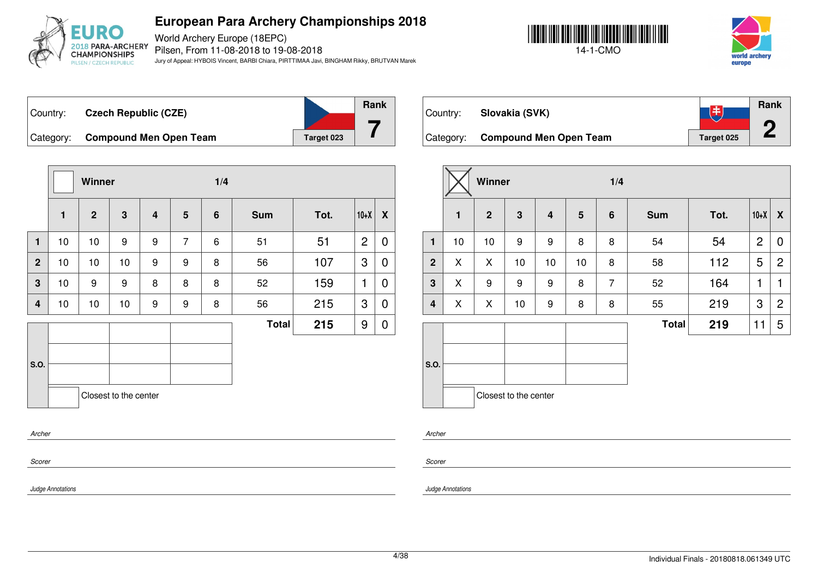

World Archery Europe (18EPC) Pilsen, From 11-08-2018 to 19-08-2018 Jury of Appeal: HYBOIS Vincent, BARBI Chiara, PIRTTIMAA Javi, BINGHAM Rikky, BRUTVAN Marek





飞书

**Rank**

**2**

Country: **Czech Republic (CZE)** Category: **Compound Men Open Team Target 023** 





Category: **Compound Men Open Team** Target 025

Country: **Slovakia (SVK)**

|                         |                       | Winner         |                         |                         |                | 1/4            |              |      |                |                  |  |  |
|-------------------------|-----------------------|----------------|-------------------------|-------------------------|----------------|----------------|--------------|------|----------------|------------------|--|--|
|                         | $\mathbf{1}$          | 2 <sup>1</sup> | $\overline{\mathbf{3}}$ | $\overline{\mathbf{4}}$ | $5\phantom{.}$ | $6\phantom{1}$ | <b>Sum</b>   | Tot. | $10+X$         | $\boldsymbol{X}$ |  |  |
| $\blacksquare$          | 10                    | 10             | 9                       | 9                       | $\overline{7}$ | 6              | 51           | 51   | $\overline{2}$ | 0                |  |  |
| $\overline{2}$          | 10                    | 10             | 10                      | 9                       | 9              | 8              | 56           | 107  | 3              | 0                |  |  |
| $\mathbf 3$             | 10                    | 9              | 9                       | 8                       | 8              | 8              | 52           | 159  | 1              | 0                |  |  |
| $\overline{\mathbf{4}}$ | 10                    | 10             | 10                      | 9                       | 9              | 8              | 56           | 215  | 3              | 0                |  |  |
|                         |                       |                |                         |                         |                |                | <b>Total</b> | 215  | 9              | 0                |  |  |
| S.O.                    |                       |                |                         |                         |                |                |              |      |                |                  |  |  |
|                         | Closest to the center |                |                         |                         |                |                |              |      |                |                  |  |  |
| Archer                  |                       |                |                         |                         |                |                |              |      |                |                  |  |  |
| Scorer                  |                       |                |                         |                         |                |                |              |      |                |                  |  |  |

|                         |              | Winner         |                       |                         |                 | 1/4            |              |      |                |                  |  |
|-------------------------|--------------|----------------|-----------------------|-------------------------|-----------------|----------------|--------------|------|----------------|------------------|--|
|                         | $\mathbf{1}$ | 2 <sup>2</sup> | 3                     | $\overline{\mathbf{4}}$ | $5\phantom{.0}$ | 6              | <b>Sum</b>   | Tot. | $10+X$         | $\boldsymbol{X}$ |  |
| $\mathbf{1}$            | 10           | 10             | 9                     | 9                       | 8               | 8              | 54           | 54   | $\overline{2}$ | 0                |  |
| $\mathbf{2}$            | X            | X              | 10                    | 10                      | 10              | 8              | 58           | 112  | 5              | $\overline{2}$   |  |
| 3                       | X            | 9              | 9                     | 9                       | 8               | $\overline{7}$ | 52           | 164  | 1              | 1                |  |
| $\overline{\mathbf{4}}$ | X            | X              | 10                    | $\boldsymbol{9}$        | 8               | 8              | 55           | 219  | 3              | $\overline{2}$   |  |
|                         |              |                |                       |                         |                 |                | <b>Total</b> | 219  | 11             | 5                |  |
|                         |              |                |                       |                         |                 |                |              |      |                |                  |  |
| S.O.                    |              |                |                       |                         |                 |                |              |      |                |                  |  |
|                         |              |                | Closest to the center |                         |                 |                |              |      |                |                  |  |

*Archer*

*Scorer*

*Judge Annotations*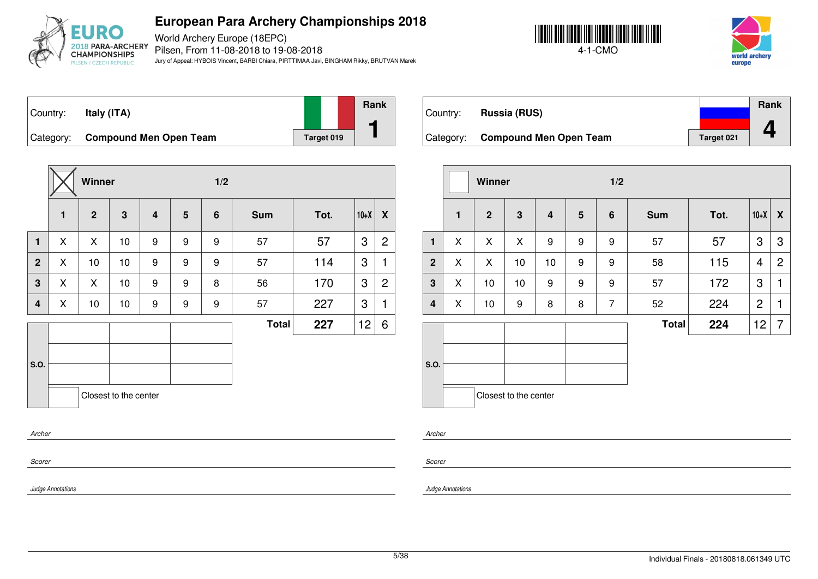

World Archery Europe (18EPC) Pilsen, From 11-08-2018 to 19-08-2018 Jury of Appeal: HYBOIS Vincent, BARBI Chiara, PIRTTIMAA Javi, BINGHAM Rikky, BRUTVAN Marek





Country: **Italy (ITA)** Category: **Compound Men Open Team Target 019 Rank 1**

**Winner 1/2 1 2 3 4 5 6 Sum Tot. 10+X X 1** X X 10 9 9 9 57 57 3 2 **2** X 10 10 9 9 9 57 114 3 1 **3**  $\mid$  X  $\mid$  X  $\mid$  10  $\mid$  9  $\mid$  9  $\mid$  8  $\mid$  56  $\mid$  170  $\mid$  3  $\mid$  2 **4**  $\mid$  X  $\mid$  10  $\mid$  10  $\mid$  9  $\mid$  9  $\mid$  9  $\mid$  57  $\mid$  227  $\mid$  3  $\mid$  1 **S.O. Total 227** 12 6 Closest to the center *Archer*

|           |                               |            | <b>Rank</b> |
|-----------|-------------------------------|------------|-------------|
| Country:  | <b>Russia (RUS)</b>           |            |             |
| Category: | <b>Compound Men Open Team</b> | Target 021 |             |

|                |              | Winner         |                       |                         |   | 1/2             |              |      |                 |                  |
|----------------|--------------|----------------|-----------------------|-------------------------|---|-----------------|--------------|------|-----------------|------------------|
|                | $\mathbf{1}$ | $\overline{2}$ | 3                     | $\overline{\mathbf{4}}$ | 5 | $6\phantom{1}6$ | <b>Sum</b>   | Tot. | $10+X$          | $\boldsymbol{X}$ |
| $\mathbf{1}$   | X            | X              | X                     | 9                       | 9 | 9               | 57           | 57   | 3               | 3                |
| $\overline{2}$ | X            | X              | 10                    | 10                      | 9 | 9               | 58           | 115  | 4               | $\overline{2}$   |
| 3              | X            | 10             | 10                    | 9                       | 9 | 9               | 57           | 172  | 3               | 1                |
| 4              | X            | 10             | 9                     | 8                       | 8 | $\overline{7}$  | 52           | 224  | $\overline{c}$  | 1                |
|                |              |                |                       |                         |   |                 | <b>Total</b> | 224  | 12 <sub>2</sub> | 7                |
|                |              |                |                       |                         |   |                 |              |      |                 |                  |
| S.O.           |              |                |                       |                         |   |                 |              |      |                 |                  |
|                |              |                |                       |                         |   |                 |              |      |                 |                  |
|                |              |                | Closest to the center |                         |   |                 |              |      |                 |                  |

*Scorer*

*Scorer*

*Archer*

*Judge Annotations*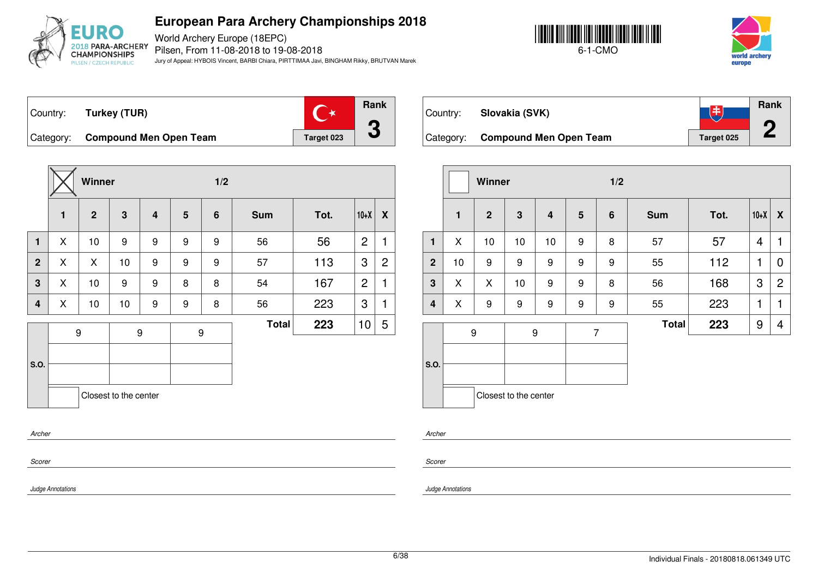

World Archery Europe (18EPC) Pilsen, From 11-08-2018 to 19-08-2018 Jury of Appeal: HYBOIS Vincent, BARBI Chiara, PIRTTIMAA Javi, BINGHAM Rikky, BRUTVAN Marek





Country: **Turkey (TUR)**



Category: **Compound Men Open Team Target 023** 



| Country:  | Slovakia (SVK)                | 王          | Rank |
|-----------|-------------------------------|------------|------|
| Category: | <b>Compound Men Open Team</b> | Target 025 |      |
|           |                               |            |      |
|           |                               |            |      |

|                         |    | Winner         |                       |                         |                 | 1/2 |              |      |                |                |
|-------------------------|----|----------------|-----------------------|-------------------------|-----------------|-----|--------------|------|----------------|----------------|
|                         | 1  | $\overline{2}$ | $\mathbf{3}$          | $\overline{\mathbf{4}}$ | $5\phantom{.0}$ | 6   | <b>Sum</b>   | Tot. | $10+X$         | X              |
| $\mathbf{1}$            | X  | 10             | 10                    | 10                      | 9               | 8   | 57           | 57   | $\overline{4}$ | 1              |
| 2 <sup>2</sup>          | 10 | 9              | 9                     | 9                       | 9               | 9   | 55           | 112  | 1              | 0              |
| $\mathbf{3}$            | X  | X              | 10                    | 9                       | 9               | 8   | 56           | 168  | 3              | $\overline{c}$ |
| $\overline{\mathbf{4}}$ | X  | 9              | 9                     | 9                       | 9               | 9   | 55           | 223  | 1              | 1              |
|                         |    | 9              | 9                     |                         | $\overline{7}$  |     | <b>Total</b> | 223  | 9              | 4              |
| S.O.                    |    |                |                       |                         |                 |     |              |      |                |                |
|                         |    |                | Closest to the center |                         |                 |     |              |      |                |                |

*Archer*

*Scorer*

*Scorer*

*Archer*

*Judge Annotations*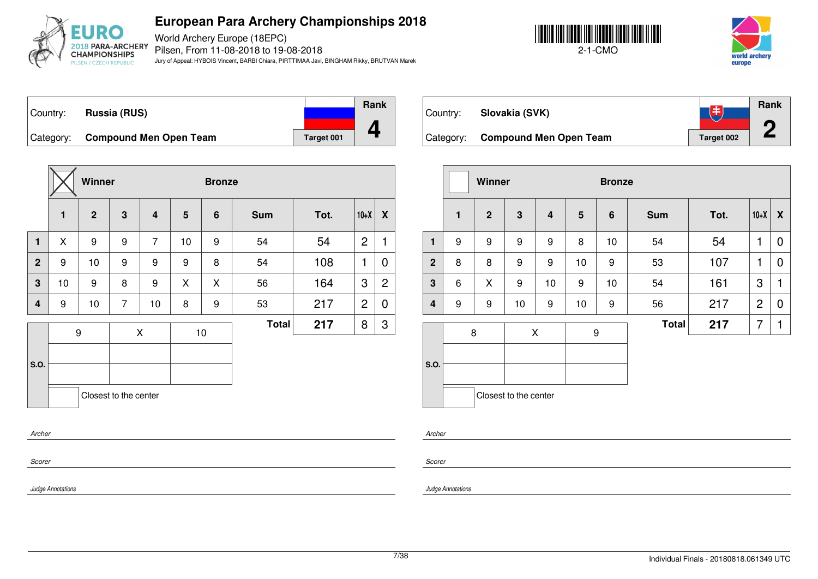

World Archery Europe (18EPC) Pilsen, From 11-08-2018 to 19-08-2018 Jury of Appeal: HYBOIS Vincent, BARBI Chiara, PIRTTIMAA Javi, BINGHAM Rikky, BRUTVAN Marek





Country: **Russia (RUS)** Category: **Compound Men Open Team Target 001 Rank 4**

|                         |              | Winner         |                       |                         |    | <b>Bronze</b> |              |      |                |                  |
|-------------------------|--------------|----------------|-----------------------|-------------------------|----|---------------|--------------|------|----------------|------------------|
|                         | $\mathbf{1}$ | 2 <sup>1</sup> | 3                     | $\overline{\mathbf{4}}$ | 5  | 6             | <b>Sum</b>   | Tot. | $10+X$         | $\boldsymbol{X}$ |
| $\mathbf{1}$            | X            | 9              | 9                     | $\overline{7}$          | 10 | 9             | 54           | 54   | $\overline{c}$ | 1                |
| $\overline{2}$          | 9            | 10             | 9                     | 9                       | 9  | 8             | 54           | 108  | 1              | 0                |
| $\overline{\mathbf{3}}$ | 10           | 9              | 8                     | 9                       | X  | X             | 56           | 164  | 3              | $\overline{c}$   |
| $\boldsymbol{4}$        | 9            | 10             | $\overline{7}$        | 10                      | 8  | 9             | 53           | 217  | $\overline{2}$ | 0                |
|                         |              | 9              |                       | X                       |    | 10            | <b>Total</b> | 217  | 8              | 3                |
|                         |              |                |                       |                         |    |               |              |      |                |                  |
| S.O.                    |              |                |                       |                         |    |               |              |      |                |                  |
|                         |              |                | Closest to the center |                         |    |               |              |      |                |                  |
| Archer                  |              |                |                       |                         |    |               |              |      |                |                  |

| Country:  | Slovakia (SVK)                |            | Rank |
|-----------|-------------------------------|------------|------|
| Category: | <b>Compound Men Open Team</b> | Target 002 |      |

|                |              | Winner         |                       |                         |                 | <b>Bronze</b> |              |      |                |                  |
|----------------|--------------|----------------|-----------------------|-------------------------|-----------------|---------------|--------------|------|----------------|------------------|
|                | $\mathbf{1}$ | $\overline{2}$ | 3                     | $\overline{\mathbf{4}}$ | $5\phantom{.0}$ | 6             | <b>Sum</b>   | Tot. | $10+X$         | $\boldsymbol{X}$ |
| 1              | 9            | 9              | 9                     | 9                       | 8               | 10            | 54           | 54   | 1              | 0                |
| $\overline{2}$ | 8            | 8              | 9                     | 9                       | 10              | 9             | 53           | 107  | 1              | 0                |
| $\mathbf{3}$   | 6            | X              | 9                     | 10                      | 9               | 10            | 54           | 161  | 3              | 1                |
| $\overline{4}$ | 9            | 9              | 10                    | 9                       | 10              | 9             | 56           | 217  | $\overline{2}$ | 0                |
|                |              | 8              |                       | Χ                       | 9               |               | <b>Total</b> | 217  | 7              | 1                |
|                |              |                |                       |                         |                 |               |              |      |                |                  |
| S.O.           |              |                |                       |                         |                 |               |              |      |                |                  |
|                |              |                | Closest to the center |                         |                 |               |              |      |                |                  |

*Archer*

*Scorer*

*Judge Annotations*

*Scorer*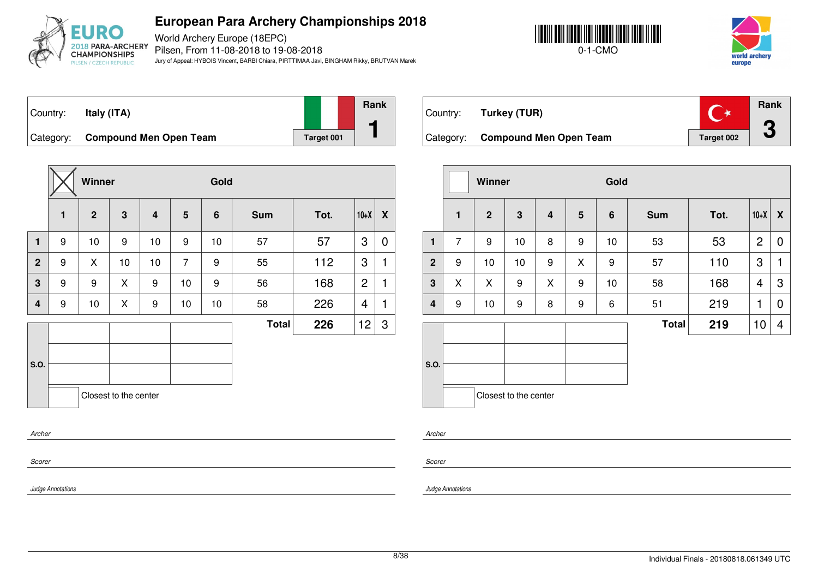

World Archery Europe (18EPC) Pilsen, From 11-08-2018 to 19-08-2018 Jury of Appeal: HYBOIS Vincent, BARBI Chiara, PIRTTIMAA Javi, BINGHAM Rikky, BRUTVAN Marek





Country: **Italy (ITA)** Category: **Compound Men Open Team Target 001 Rank 1**

|                |   | Winner         |                       |                         |                | Gold            |              |      |                 |   |
|----------------|---|----------------|-----------------------|-------------------------|----------------|-----------------|--------------|------|-----------------|---|
|                | 1 | $\overline{2}$ | $\mathbf{3}$          | $\overline{\mathbf{4}}$ | 5              | $6\phantom{1}6$ | <b>Sum</b>   | Tot. | $10+X$          | X |
| $\mathbf{1}$   | 9 | 10             | 9                     | 10                      | 9              | 10              | 57           | 57   | 3               | 0 |
| $\overline{2}$ | 9 | X              | 10                    | 10                      | $\overline{7}$ | 9               | 55           | 112  | 3               | 1 |
| 3              | 9 | 9              | X                     | 9                       | 10             | 9               | 56           | 168  | $\overline{2}$  | 1 |
| $\overline{4}$ | 9 | 10             | X                     | $\boldsymbol{9}$        | 10             | 10              | 58           | 226  | 4               | 1 |
|                |   |                |                       |                         |                |                 | <b>Total</b> | 226  | 12 <sub>2</sub> | 3 |
|                |   |                |                       |                         |                |                 |              |      |                 |   |
| S.O.           |   |                |                       |                         |                |                 |              |      |                 |   |
|                |   |                | Closest to the center |                         |                |                 |              |      |                 |   |
| Archer         |   |                |                       |                         |                |                 |              |      |                 |   |

| Country:  | Turkey (TUR)                  |            | Rank |
|-----------|-------------------------------|------------|------|
| Category: | <b>Compound Men Open Team</b> | Target 002 |      |

|                         |                | Winner         |                       |   |                 | Gold |              |      |                |                  |
|-------------------------|----------------|----------------|-----------------------|---|-----------------|------|--------------|------|----------------|------------------|
|                         | $\mathbf{1}$   | $\overline{2}$ | $\mathbf{3}$          | 4 | $5\phantom{.0}$ | 6    | <b>Sum</b>   | Tot. | $10+X$         | $\boldsymbol{X}$ |
| 1                       | $\overline{7}$ | 9              | 10                    | 8 | 9               | 10   | 53           | 53   | $\overline{2}$ | 0                |
| $\mathbf{2}$            | 9              | 10             | 10                    | 9 | X               | 9    | 57           | 110  | 3              | 1                |
| $\mathbf 3$             | X              | X              | 9                     | X | 9               | 10   | 58           | 168  | 4              | 3                |
| $\overline{\mathbf{4}}$ | 9              | 10             | 9                     | 8 | 9               | 6    | 51           | 219  | 1              | $\mathbf 0$      |
|                         |                |                |                       |   |                 |      | <b>Total</b> | 219  | 10             | 4                |
| S.O.                    |                |                | Closest to the center |   |                 |      |              |      |                |                  |
|                         |                |                |                       |   |                 |      |              |      |                |                  |

*Scorer*

*Scorer*

*Archer*

*Judge Annotations*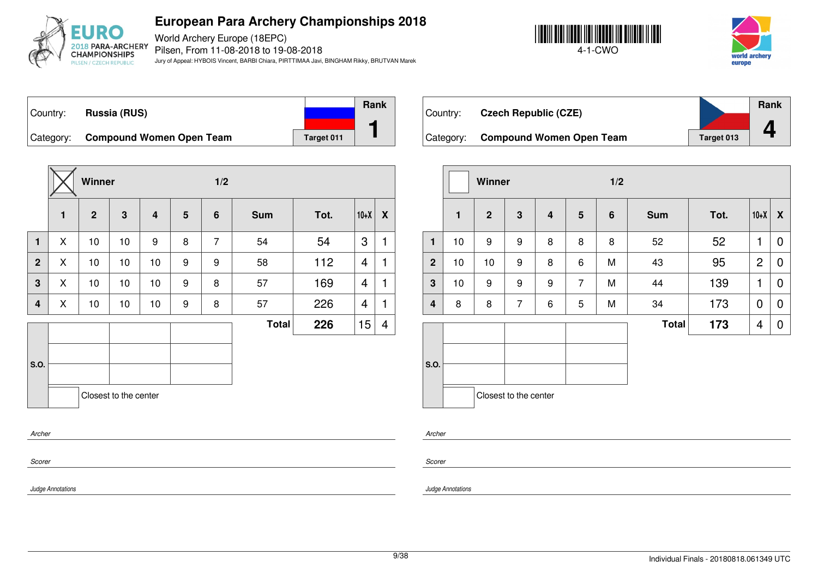

World Archery Europe (18EPC) Pilsen, From 11-08-2018 to 19-08-2018 Jury of Appeal: HYBOIS Vincent, BARBI Chiara, PIRTTIMAA Javi, BINGHAM Rikky, BRUTVAN Marek





Country: **Russia (RUS)** Category: **Compound Women Open Team** Target 011 **Rank 1**

|                |              | Winner         |                       |                |                | 1/2            |              |      |        |              |
|----------------|--------------|----------------|-----------------------|----------------|----------------|----------------|--------------|------|--------|--------------|
|                | $\mathbf{1}$ | $\overline{2}$ | 3                     | $\overline{4}$ | $5\phantom{1}$ | 6              | <b>Sum</b>   | Tot. | $10+X$ | X            |
| $\mathbf{1}$   | X            | 10             | 10                    | 9              | 8              | $\overline{7}$ | 54           | 54   | 3      | $\mathbf{1}$ |
| $\overline{2}$ | X            | 10             | 10                    | 10             | 9              | 9              | 58           | 112  | 4      | 1            |
| 3              | X            | 10             | 10                    | 10             | 9              | 8              | 57           | 169  | 4      | $\mathbf{1}$ |
| 4              | X            | 10             | 10                    | 10             | 9              | 8              | 57           | 226  | 4      | 1            |
|                |              |                |                       |                |                |                | <b>Total</b> | 226  | 15     | 4            |
|                |              |                |                       |                |                |                |              |      |        |              |
| S.O.           |              |                |                       |                |                |                |              |      |        |              |
|                |              |                | Closest to the center |                |                |                |              |      |        |              |
| Archer         |              |                |                       |                |                |                |              |      |        |              |

| Country:  | <b>Czech Republic (CZE)</b>     |                   | <b>Rank</b> |
|-----------|---------------------------------|-------------------|-------------|
| Category: | <b>Compound Women Open Team</b> | <b>Target 013</b> |             |

|                         |              | Winner         |                       |   |                 | 1/2 |              |      |                |                |
|-------------------------|--------------|----------------|-----------------------|---|-----------------|-----|--------------|------|----------------|----------------|
|                         | $\mathbf{1}$ | $\overline{2}$ | $\mathbf{3}$          | 4 | $5\phantom{.0}$ | 6   | <b>Sum</b>   | Tot. | $10+X$         | X              |
| $\mathbf{1}$            | 10           | 9              | 9                     | 8 | 8               | 8   | 52           | 52   | 1              | 0              |
| $\mathbf{2}$            | 10           | 10             | 9                     | 8 | 6               | M   | 43           | 95   | $\overline{2}$ | $\mathbf 0$    |
| $\mathbf{3}$            | 10           | 9              | 9                     | 9 | $\overline{7}$  | M   | 44           | 139  | 1              | $\overline{0}$ |
| $\overline{\mathbf{4}}$ | 8            | 8              | $\overline{7}$        | 6 | 5               | M   | 34           | 173  | 0              | 0              |
|                         |              |                |                       |   |                 |     | <b>Total</b> | 173  | 4              | 0              |
| S.O.                    |              |                |                       |   |                 |     |              |      |                |                |
|                         |              |                | Closest to the center |   |                 |     |              |      |                |                |

*Archer*

*Scorer*

*Judge Annotations*

*Scorer*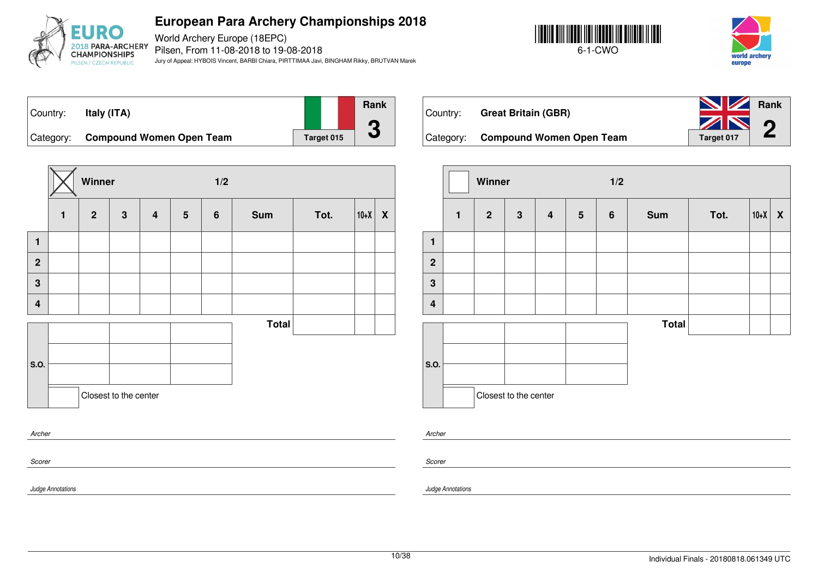

World Archery Europe (18EPC) Pilsen, From 11-08-2018 to 19-08-2018 Jury of Appeal: HYBOIS Vincent, BARBI Chiara, PIRTTIMAA Javi, BINGHAM Rikky, BRUTVAN Marek





Country: **Italy (ITA)** Category: **Compound Women Open Team** Target 015 **Rank 3**

|                         |              | Winner         |                       |                  |                 | 1/2              |              |      |            |  |
|-------------------------|--------------|----------------|-----------------------|------------------|-----------------|------------------|--------------|------|------------|--|
|                         | $\mathbf{1}$ | $\overline{2}$ | $\mathbf{3}$          | $\boldsymbol{4}$ | $5\phantom{.0}$ | $\boldsymbol{6}$ | Sum          | Tot. | $ 10+X $ X |  |
| $\mathbf{1}$            |              |                |                       |                  |                 |                  |              |      |            |  |
| $\overline{2}$          |              |                |                       |                  |                 |                  |              |      |            |  |
| $\mathbf{3}$            |              |                |                       |                  |                 |                  |              |      |            |  |
| $\overline{\mathbf{4}}$ |              |                |                       |                  |                 |                  |              |      |            |  |
|                         |              |                |                       |                  |                 |                  | <b>Total</b> |      |            |  |
|                         |              |                |                       |                  |                 |                  |              |      |            |  |
| S.O.                    |              |                |                       |                  |                 |                  |              |      |            |  |
|                         |              |                | Closest to the center |                  |                 |                  |              |      |            |  |
| Archer                  |              |                |                       |                  |                 |                  |              |      |            |  |

| Country: | <b>Great Britain (GBR)</b>         | <b>NV</b> Rank<br>ZN 0 |  |
|----------|------------------------------------|------------------------|--|
|          | Category: Compound Women Open Team | Target 017             |  |

|                         |              | Winner         |                       |                         |                 | 1/2              |              |      |        |                           |
|-------------------------|--------------|----------------|-----------------------|-------------------------|-----------------|------------------|--------------|------|--------|---------------------------|
|                         | $\mathbf{1}$ | $\overline{2}$ | $\mathbf{3}$          | $\overline{\mathbf{4}}$ | $5\phantom{.0}$ | $\boldsymbol{6}$ | <b>Sum</b>   | Tot. | $10+X$ | $\boldsymbol{\mathsf{X}}$ |
| $\mathbf{1}$            |              |                |                       |                         |                 |                  |              |      |        |                           |
| $\mathbf{2}$            |              |                |                       |                         |                 |                  |              |      |        |                           |
| $\mathbf{3}$            |              |                |                       |                         |                 |                  |              |      |        |                           |
| $\overline{\mathbf{4}}$ |              |                |                       |                         |                 |                  |              |      |        |                           |
|                         |              |                |                       |                         |                 |                  | <b>Total</b> |      |        |                           |
| S.O.                    |              |                |                       |                         |                 |                  |              |      |        |                           |
|                         |              |                | Closest to the center |                         |                 |                  |              |      |        |                           |

*Archer*

*Scorer*

*Judge Annotations*

*Scorer*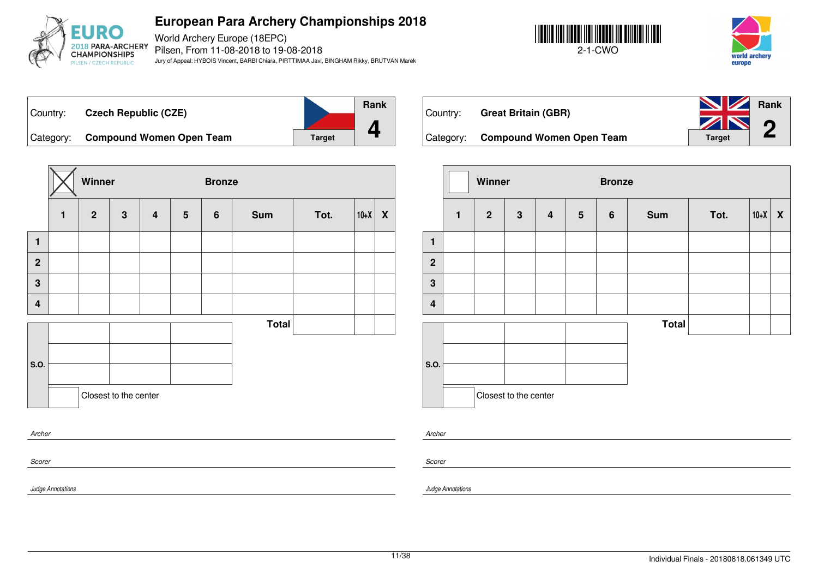

World Archery Europe (18EPC) Pilsen, From 11-08-2018 to 19-08-2018 Jury of Appeal: HYBOIS Vincent, BARBI Chiara, PIRTTIMAA Javi, BINGHAM Rikky, BRUTVAN Marek





Country: **Czech Republic (CZE)** Category: **Compound Women Open Team Target Rank 4**

|                         |              | Winner       |                       |                         |                 | <b>Bronze</b> |              |      |        |                           |  |
|-------------------------|--------------|--------------|-----------------------|-------------------------|-----------------|---------------|--------------|------|--------|---------------------------|--|
|                         | $\mathbf{1}$ | $\mathbf{2}$ | $\mathbf 3$           | $\overline{\mathbf{4}}$ | $5\phantom{.0}$ | 6             | <b>Sum</b>   | Tot. | $10+X$ | $\boldsymbol{\mathsf{X}}$ |  |
| $\mathbf{1}$            |              |              |                       |                         |                 |               |              |      |        |                           |  |
| $\overline{2}$          |              |              |                       |                         |                 |               |              |      |        |                           |  |
| $\mathbf 3$             |              |              |                       |                         |                 |               |              |      |        |                           |  |
| $\overline{\mathbf{4}}$ |              |              |                       |                         |                 |               |              |      |        |                           |  |
|                         |              |              |                       |                         |                 |               | <b>Total</b> |      |        |                           |  |
|                         |              |              |                       |                         |                 |               |              |      |        |                           |  |
| S.O.                    |              |              |                       |                         |                 |               |              |      |        |                           |  |
|                         |              |              | Closest to the center |                         |                 |               |              |      |        |                           |  |
|                         | Archer       |              |                       |                         |                 |               |              |      |        |                           |  |

| Country:  | <b>Great Britain (GBR)</b>      | Rank<br>ZIN   | $\Omega$ |
|-----------|---------------------------------|---------------|----------|
| Category: | <b>Compound Women Open Team</b> | <b>Target</b> |          |

|                         |              | Winner         |                       |                         |                 | <b>Bronze</b>    |              |      |        |   |
|-------------------------|--------------|----------------|-----------------------|-------------------------|-----------------|------------------|--------------|------|--------|---|
|                         | $\mathbf{1}$ | $\overline{2}$ | $\mathbf{3}$          | $\overline{\mathbf{4}}$ | $5\phantom{.0}$ | $\boldsymbol{6}$ | <b>Sum</b>   | Tot. | $10+X$ | X |
| $\mathbf{1}$            |              |                |                       |                         |                 |                  |              |      |        |   |
| $\mathbf{2}$            |              |                |                       |                         |                 |                  |              |      |        |   |
| $\mathbf{3}$            |              |                |                       |                         |                 |                  |              |      |        |   |
| $\overline{\mathbf{4}}$ |              |                |                       |                         |                 |                  |              |      |        |   |
|                         |              |                |                       |                         |                 |                  | <b>Total</b> |      |        |   |
| S.O.                    |              |                |                       |                         |                 |                  |              |      |        |   |
|                         |              |                | Closest to the center |                         |                 |                  |              |      |        |   |

*Archer*

*Scorer*

*Judge Annotations*

*Scorer*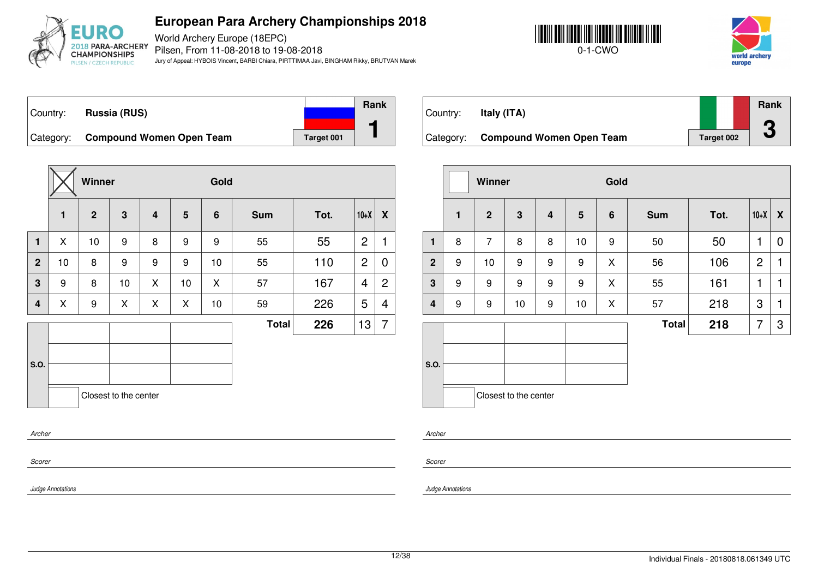

World Archery Europe (18EPC) Pilsen, From 11-08-2018 to 19-08-2018 Jury of Appeal: HYBOIS Vincent, BARBI Chiara, PIRTTIMAA Javi, BINGHAM Rikky, BRUTVAN Marek





Country: **Russia (RUS)** Category: **Compound Women Open Team** Target 001 **Rank 1**

|                |    | Winner         |                       |                         |                 | Gold           |              |      |                |                |
|----------------|----|----------------|-----------------------|-------------------------|-----------------|----------------|--------------|------|----------------|----------------|
|                | 1  | $\overline{2}$ | 3                     | $\overline{\mathbf{4}}$ | $5\phantom{.0}$ | $6\phantom{1}$ | <b>Sum</b>   | Tot. | $10+X$         | X              |
| $\mathbf{1}$   | X  | 10             | 9                     | 8                       | 9               | 9              | 55           | 55   | $\overline{2}$ | 1              |
| 2 <sup>1</sup> | 10 | 8              | 9                     | 9                       | 9               | 10             | 55           | 110  | $\overline{2}$ | 0              |
| 3              | 9  | 8              | 10                    | X                       | 10              | X              | 57           | 167  | $\overline{4}$ | $\overline{c}$ |
| 4              | X  | 9              | X                     | X                       | X               | 10             | 59           | 226  | 5              | $\overline{4}$ |
|                |    |                |                       |                         |                 |                | <b>Total</b> | 226  | 13             | 7              |
|                |    |                |                       |                         |                 |                |              |      |                |                |
| S.O.           |    |                |                       |                         |                 |                |              |      |                |                |
|                |    |                | Closest to the center |                         |                 |                |              |      |                |                |
| Archer         |    |                |                       |                         |                 |                |              |      |                |                |

| Country:  | Italy (ITA)                     |            | <b>Rank</b>                    |
|-----------|---------------------------------|------------|--------------------------------|
| Category: | <b>Compound Women Open Team</b> | Target 002 | $\Gamma$<br>$\mathbf{\bullet}$ |

|              |              | Winner         |                       |   |                 | Gold |              |      |                |   |
|--------------|--------------|----------------|-----------------------|---|-----------------|------|--------------|------|----------------|---|
|              | $\mathbf{1}$ | $\overline{2}$ | $\mathbf{3}$          | 4 | $5\phantom{.0}$ | 6    | <b>Sum</b>   | Tot. | $10+X$         | X |
| $\mathbf{1}$ | 8            | $\overline{7}$ | 8                     | 8 | 10              | 9    | 50           | 50   | 1              | 0 |
| $\mathbf{2}$ | 9            | 10             | 9                     | 9 | 9               | X    | 56           | 106  | $\overline{2}$ | 1 |
| $\mathbf 3$  | 9            | 9              | 9                     | 9 | 9               | X    | 55           | 161  | 1              | 1 |
| 4            | 9            | 9              | 10                    | 9 | 10              | X    | 57           | 218  | 3              | 1 |
|              |              |                |                       |   |                 |      | <b>Total</b> | 218  | 7              | 3 |
|              |              |                |                       |   |                 |      |              |      |                |   |
| S.O.         |              |                |                       |   |                 |      |              |      |                |   |
|              |              |                |                       |   |                 |      |              |      |                |   |
|              |              |                | Closest to the center |   |                 |      |              |      |                |   |

*Archer*

*Scorer*

*Judge Annotations*

*Scorer*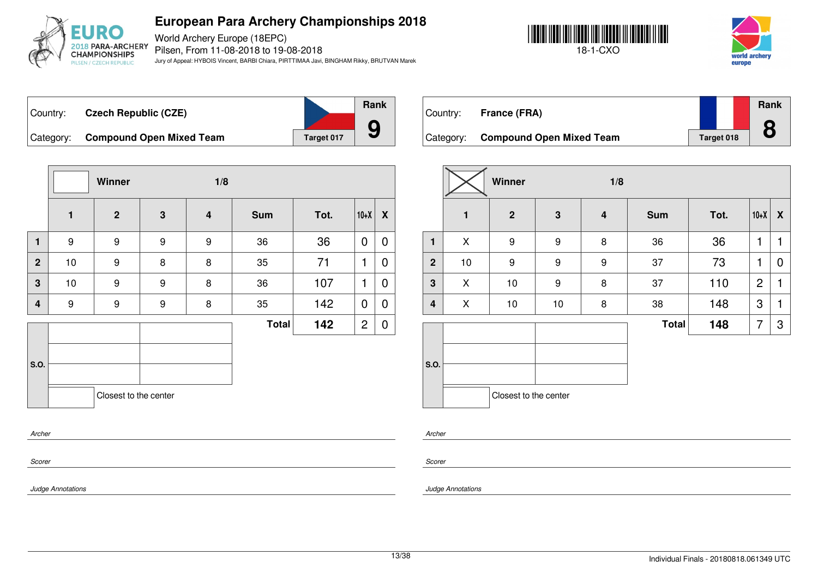

World Archery Europe (18EPC) Pilsen, From 11-08-2018 to 19-08-2018 Jury of Appeal: HYBOIS Vincent, BARBI Chiara, PIRTTIMAA Javi, BINGHAM Rikky, BRUTVAN Marek





Country: **Czech Republic (CZE)** Category: **Compound Open Mixed Team** Target 017





Country: **France (FRA)** Category: **Compound Open Mixed Team** Target 018 **Rank 8**

|                |                  | Winner                |                  | 1/8                     |              |      |                |                  |
|----------------|------------------|-----------------------|------------------|-------------------------|--------------|------|----------------|------------------|
|                | $\mathbf{1}$     | $\overline{2}$        | $\mathbf{3}$     | $\overline{\mathbf{4}}$ | <b>Sum</b>   | Tot. | $10+X$         | $\boldsymbol{X}$ |
| $\mathbf{1}$   | 9                | $\boldsymbol{9}$      | $\boldsymbol{9}$ | 9                       | 36           | 36   | $\mathbf 0$    | 0                |
| $\overline{2}$ | 10               | 9                     | 8                | 8                       | 35           | 71   | 1              | 0                |
| 3              | 10               | 9                     | 9                | 8                       | 36           | 107  | 1              | 0                |
| $\overline{4}$ | $\boldsymbol{9}$ | $\boldsymbol{9}$      | $\boldsymbol{9}$ | 8                       | 35           | 142  | $\mathbf 0$    | 0                |
|                |                  |                       |                  |                         | <b>Total</b> | 142  | $\overline{c}$ | 0                |
| S.O.           |                  |                       |                  |                         |              |      |                |                  |
|                |                  | Closest to the center |                  |                         |              |      |                |                  |
| Archer         |                  |                       |                  |                         |              |      |                |                  |
| Scorer         |                  |                       |                  |                         |              |      |                |                  |

|                |              | Winner                |                         | 1/8                     |              |      |                |   |
|----------------|--------------|-----------------------|-------------------------|-------------------------|--------------|------|----------------|---|
|                | $\mathbf{1}$ | $\mathbf{2}$          | $\overline{\mathbf{3}}$ | $\overline{\mathbf{4}}$ | <b>Sum</b>   | Tot. | $10+X$         | X |
| $\mathbf{1}$   | X            | 9                     | $\boldsymbol{9}$        | 8                       | 36           | 36   | 1              | 1 |
| $\overline{2}$ | 10           | 9                     | 9                       | 9                       | 37           | 73   | 1              | 0 |
| 3              | X            | 10                    | 9                       | 8                       | 37           | 110  | $\overline{2}$ | 1 |
| 4              | X            | 10                    | $10$                    | 8                       | 38           | 148  | 3              | 1 |
|                |              |                       |                         |                         | <b>Total</b> | 148  | 7              | 3 |
| S.O.           |              | Closest to the center |                         |                         |              |      |                |   |

*Archer*

*Scorer*

*Judge Annotations*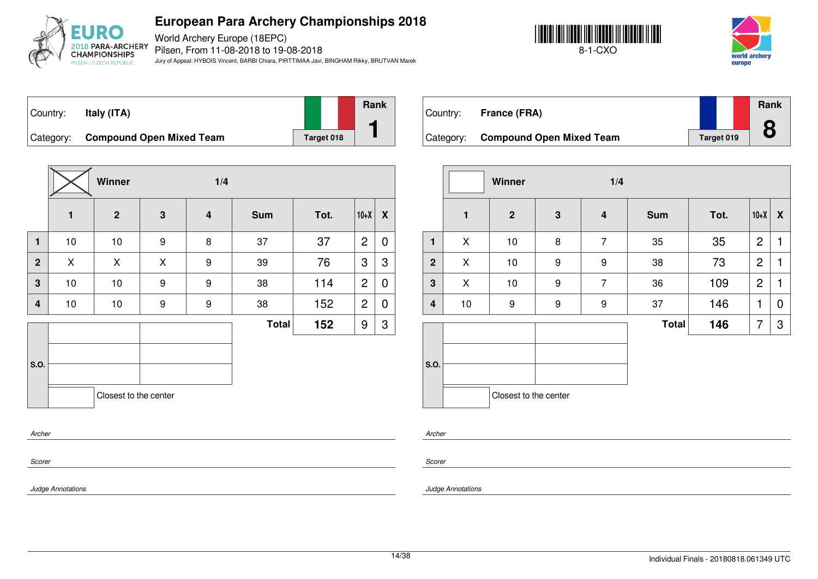

World Archery Europe (18EPC) Pilsen, From 11-08-2018 to 19-08-2018 Jury of Appeal: HYBOIS Vincent, BARBI Chiara, PIRTTIMAA Javi, BINGHAM Rikky, BRUTVAN Marek





Country: **Italy (ITA)** Category: **Compound Open Mixed Team** Target 018 **Rank 1**

|                         |                | Winner                |             | 1/4                     |              |      |                |                  |
|-------------------------|----------------|-----------------------|-------------|-------------------------|--------------|------|----------------|------------------|
|                         | $\blacksquare$ | $\overline{2}$        | $\mathbf 3$ | $\overline{\mathbf{4}}$ | <b>Sum</b>   | Tot. | $10+X$         | $\boldsymbol{X}$ |
| $\mathbf{1}$            | 10             | 10                    | 9           | 8                       | 37           | 37   | $\overline{2}$ | 0                |
| $\mathbf{2}$            | X              | X                     | X           | 9                       | 39           | 76   | 3              | 3                |
| $\overline{\mathbf{3}}$ | 10             | 10                    | 9           | 9                       | 38           | 114  | $\overline{2}$ | $\mathbf 0$      |
| 4                       | 10             | 10                    | 9           | 9                       | 38           | 152  | $\overline{2}$ | 0                |
|                         |                |                       |             |                         | <b>Total</b> | 152  | 9              | 3                |
|                         |                |                       |             |                         |              |      |                |                  |
| S.O.                    |                |                       |             |                         |              |      |                |                  |
|                         |                | Closest to the center |             |                         |              |      |                |                  |
| Archer                  |                |                       |             |                         |              |      |                |                  |

| Country:  | France (FRA)                    |            | <b>Rank</b> |
|-----------|---------------------------------|------------|-------------|
| Category: | <b>Compound Open Mixed Team</b> | Target 019 |             |

|                |              | Winner                |              | 1/4            |              |      |                |   |
|----------------|--------------|-----------------------|--------------|----------------|--------------|------|----------------|---|
|                | $\mathbf{1}$ | $\overline{2}$        | $\mathbf{3}$ | 4              | <b>Sum</b>   | Tot. | $10+X$         | X |
| $\mathbf{1}$   | X            | $10$                  | 8            | $\overline{7}$ | 35           | 35   | $\overline{c}$ | 1 |
| $\overline{2}$ | X            | $10$                  | 9            | 9              | 38           | 73   | $\overline{c}$ | 1 |
| $\mathbf 3$    | X            | 10                    | 9            | $\overline{7}$ | 36           | 109  | $\overline{c}$ | 1 |
| 4              | 10           | $\boldsymbol{9}$      | 9            | 9              | 37           | 146  | 1              | 0 |
|                |              |                       |              |                | <b>Total</b> | 146  | 7              | 3 |
| S.O.           |              |                       |              |                |              |      |                |   |
|                |              | Closest to the center |              |                |              |      |                |   |

*Scorer*

*Scorer*

*Archer*

*Judge Annotations*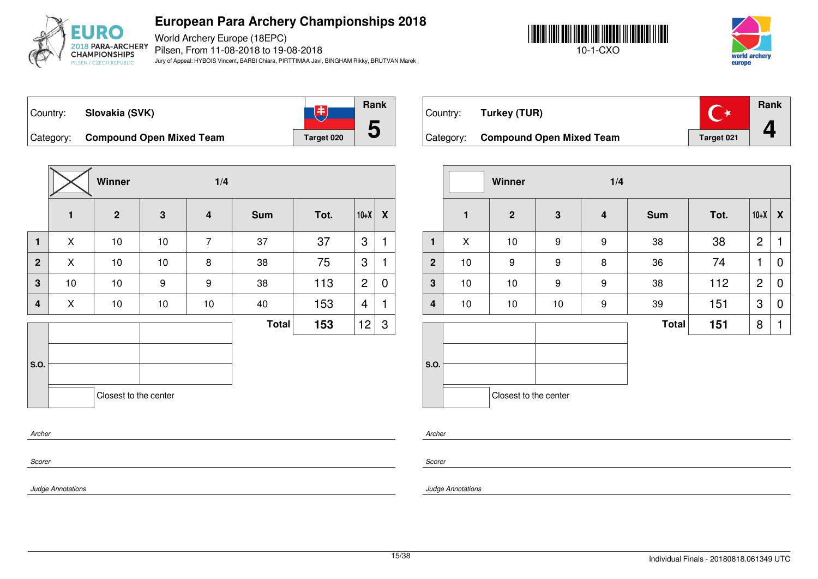

World Archery Europe (18EPC) Pilsen, From 11-08-2018 to 19-08-2018 Jury of Appeal: HYBOIS Vincent, BARBI Chiara, PIRTTIMAA Javi, BINGHAM Rikky, BRUTVAN Marek





**Rank** 飞 Country: **Slovakia (SVK) 5** Category: **Compound Open Mixed Team** Target 020

|                         |              | Winner                | 1/4 |                         |              |      |                |                           |
|-------------------------|--------------|-----------------------|-----|-------------------------|--------------|------|----------------|---------------------------|
|                         | $\mathbf{1}$ | $\overline{2}$        | 3   | $\overline{\mathbf{4}}$ | <b>Sum</b>   | Tot. | $10+X$         | $\boldsymbol{\mathsf{X}}$ |
| $\mathbf{1}$            | X            | $10$                  | 10  | $\overline{7}$          | 37           | 37   | 3              | $\mathbf{1}$              |
| $\mathbf 2$             | X            | 10                    | 10  | 8                       | 38           | 75   | 3              | 1                         |
| 3                       | 10           | 10                    | 9   | 9                       | 38           | 113  | $\overline{2}$ | 0                         |
| $\overline{\mathbf{4}}$ | X            | 10                    | 10  | $10$                    | 40           | 153  | 4              | 1                         |
|                         |              |                       |     |                         | <b>Total</b> | 153  | 12             | 3                         |
| S.O.                    |              | Closest to the center |     |                         |              |      |                |                           |
|                         |              |                       |     |                         |              |      |                |                           |

| Country: | Turkey (TUR)                       |            | <b>Rank</b> |
|----------|------------------------------------|------------|-------------|
|          | Category: Compound Open Mixed Team | Target 021 |             |

|                         |              | Winner                |             | 1/4                     |              |      |                |                           |
|-------------------------|--------------|-----------------------|-------------|-------------------------|--------------|------|----------------|---------------------------|
|                         | $\mathbf{1}$ | $\overline{2}$        | $\mathbf 3$ | $\overline{\mathbf{4}}$ | <b>Sum</b>   | Tot. | $10+X$         | $\boldsymbol{\mathsf{X}}$ |
| $\mathbf{1}$            | X            | $10$                  | 9           | 9                       | 38           | 38   | $\overline{c}$ | 1                         |
| $\overline{2}$          | $10$         | $\boldsymbol{9}$      | 9           | 8                       | 36           | 74   | 1              | 0                         |
| $\overline{\mathbf{3}}$ | 10           | $10$                  | 9           | 9                       | 38           | 112  | $\overline{2}$ | $\mathbf 0$               |
| $\overline{\mathbf{4}}$ | 10           | $10$                  | 10          | 9                       | 39           | 151  | 3              | $\mathbf 0$               |
|                         |              |                       |             |                         | <b>Total</b> | 151  | 8              | 1                         |
| S.O.                    |              |                       |             |                         |              |      |                |                           |
|                         |              | Closest to the center |             |                         |              |      |                |                           |

*Archer*

*Scorer*

*Scorer*

*Archer*

*Judge Annotations*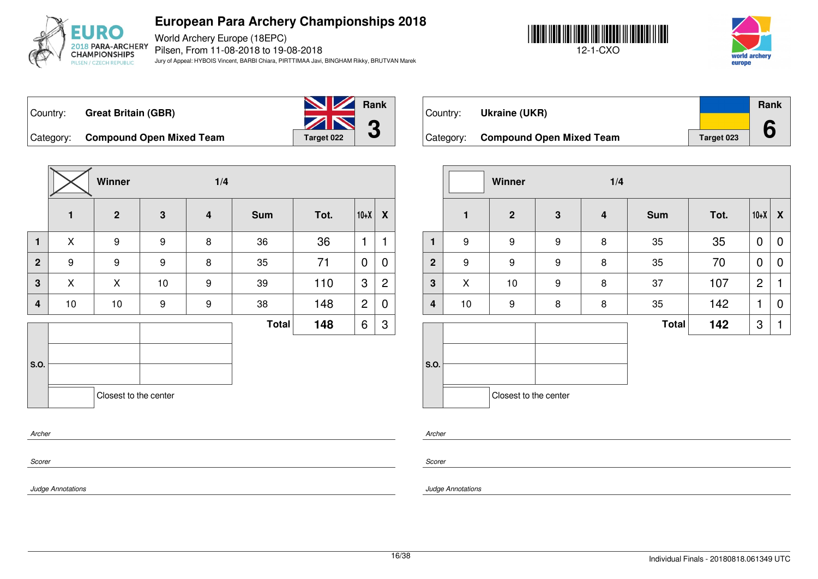

World Archery Europe (18EPC) Pilsen, From 11-08-2018 to 19-08-2018 Jury of Appeal: HYBOIS Vincent, BARBI Chiara, PIRTTIMAA Javi, BINGHAM Rikky, BRUTVAN Marek



Category: **Compound Open Mixed Team** Target 023



**Rank**

**6**

Country: **Great Britain (GBR)**



Category: **Compound Open Mixed Team** Target 022

|              |                  | Winner<br>1/4         |                  |                         |              |      |                |                    |  |
|--------------|------------------|-----------------------|------------------|-------------------------|--------------|------|----------------|--------------------|--|
|              | $\mathbf{1}$     | $\mathbf{2}$          | $\mathbf 3$      | $\overline{\mathbf{4}}$ | <b>Sum</b>   | Tot. | $10+X$         | $\pmb{\mathsf{X}}$ |  |
| $\mathbf{1}$ | X                | $\boldsymbol{9}$      | $\boldsymbol{9}$ | 8                       | 36           | 36   | 1              | 1                  |  |
| $\mathbf{2}$ | $\boldsymbol{9}$ | 9                     | 9                | 8                       | 35           | 71   | 0              | $\mathbf 0$        |  |
| 3            | X                | X                     | 10               | $\boldsymbol{9}$        | 39           | 110  | 3              | $\overline{c}$     |  |
| 4            | 10               | 10                    | $\boldsymbol{9}$ | $\boldsymbol{9}$        | 38           | 148  | $\overline{2}$ | $\boldsymbol{0}$   |  |
|              |                  |                       |                  |                         | <b>Total</b> | 148  | 6              | 3                  |  |
| S.O.         |                  | Closest to the center |                  |                         |              |      |                |                    |  |
| Archer       |                  |                       |                  |                         |              |      |                |                    |  |

|                         |                  | Winner                |   | 1/4                     |              |      |                |   |
|-------------------------|------------------|-----------------------|---|-------------------------|--------------|------|----------------|---|
|                         | 1                | $\overline{2}$        | 3 | $\overline{\mathbf{4}}$ | <b>Sum</b>   | Tot. | $10+X$         | X |
| $\mathbf{1}$            | $\boldsymbol{9}$ | 9                     | 9 | 8                       | 35           | 35   | $\mathbf 0$    | 0 |
| $\mathbf{2}$            | $\boldsymbol{9}$ | 9                     | 9 | 8                       | 35           | 70   | $\mathbf 0$    | 0 |
| 3                       | X                | 10                    | 9 | 8                       | 37           | 107  | $\overline{2}$ | 1 |
| $\overline{\mathbf{4}}$ | 10               | 9                     | 8 | 8                       | 35           | 142  | 1              | 0 |
|                         |                  |                       |   |                         | <b>Total</b> | 142  | 3              | 1 |
|                         |                  |                       |   |                         |              |      |                |   |
| S.O.                    |                  |                       |   |                         |              |      |                |   |
|                         |                  | Closest to the center |   |                         |              |      |                |   |

*Archer*

*Scorer*

*Judge Annotations*

*Scorer*

*Judge Annotations*

Country: **Ukraine (UKR)**

| Winner           |             | 1/4              |              |      |        |                  |
|------------------|-------------|------------------|--------------|------|--------|------------------|
| $\overline{2}$   | $\mathbf 3$ | $\boldsymbol{4}$ | <b>Sum</b>   | Tot. | $10+X$ | $\boldsymbol{X}$ |
| 9                | 9           | 8                | 35           | 35   | 0      | 0                |
| $\boldsymbol{9}$ | 9           | 8                | 35           | 70   | 0      | 0                |
| 10               | 9           | 8                | 37           | 107  | 2      | 1                |
| $\boldsymbol{9}$ | 8           | 8                | 35           | 142  | 1      | 0                |
|                  |             |                  | <b>Total</b> | 142  | 3      | 1                |
|                  |             |                  |              |      |        |                  |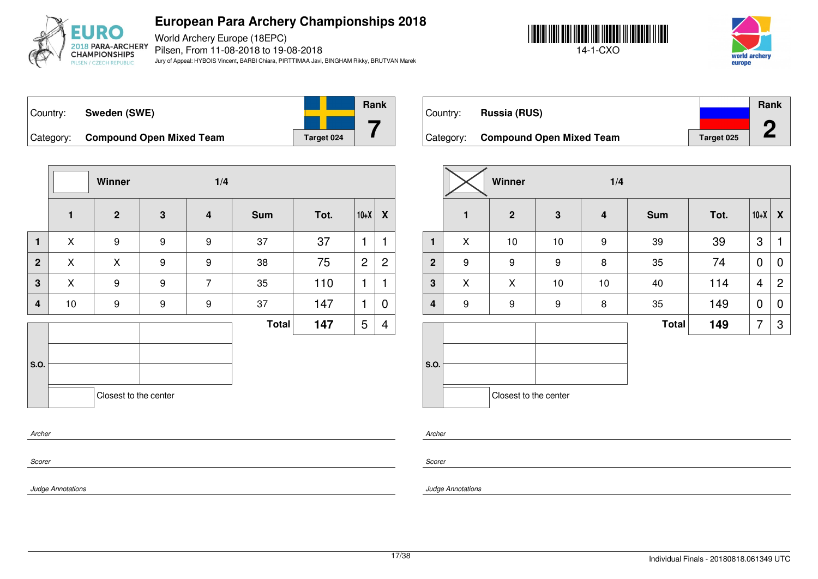

World Archery Europe (18EPC) Pilsen, From 11-08-2018 to 19-08-2018 Jury of Appeal: HYBOIS Vincent, BARBI Chiara, PIRTTIMAA Javi, BINGHAM Rikky, BRUTVAN Marek





| Country:  | Sweden (SWE)                    |            | <b>Rank</b> |
|-----------|---------------------------------|------------|-------------|
| Category: | <b>Compound Open Mixed Team</b> | Target 024 |             |

|                |              | Winner                |   | 1/4                     |              |      |                |                |
|----------------|--------------|-----------------------|---|-------------------------|--------------|------|----------------|----------------|
|                | $\mathbf{1}$ | $\overline{2}$        | 3 | $\overline{\mathbf{4}}$ | <b>Sum</b>   | Tot. | $10+X$         | X              |
| $\mathbf{1}$   | X            | 9                     | 9 | 9                       | 37           | 37   | 1              | 1              |
| $\overline{2}$ | X            | X                     | 9 | 9                       | 38           | 75   | $\overline{c}$ | $\overline{2}$ |
| 3              | X            | 9                     | 9 | $\overline{7}$          | 35           | 110  | 1              | 1              |
| 4              | 10           | 9                     | 9 | 9                       | 37           | 147  | 1              | 0              |
|                |              |                       |   |                         | <b>Total</b> | 147  | 5              | $\overline{4}$ |
|                |              |                       |   |                         |              |      |                |                |
| S.O.           |              |                       |   |                         |              |      |                |                |
|                |              | Closest to the center |   |                         |              |      |                |                |
| Archer         |              |                       |   |                         |              |      |                |                |

| Country:  | Russia (RUS)                    |            | <b>Rank</b> |
|-----------|---------------------------------|------------|-------------|
| Category: | <b>Compound Open Mixed Team</b> | Target 025 |             |

|                         |              | Winner<br>1/4         |              |                         |              |      |        |                  |
|-------------------------|--------------|-----------------------|--------------|-------------------------|--------------|------|--------|------------------|
|                         | $\mathbf{1}$ | $\overline{2}$        | $\mathbf{3}$ | $\overline{\mathbf{4}}$ | <b>Sum</b>   | Tot. | $10+X$ | $\boldsymbol{X}$ |
| $\mathbf{1}$            | X            | 10                    | $10$         | 9                       | 39           | 39   | 3      | 1                |
| $\overline{2}$          | 9            | $\boldsymbol{9}$      | 9            | 8                       | 35           | 74   | 0      | 0                |
| $\overline{\mathbf{3}}$ | X            | X                     | $10$         | $10$                    | 40           | 114  | 4      | $\overline{2}$   |
| $\overline{\mathbf{4}}$ | 9            | $\boldsymbol{9}$      | 9            | 8                       | 35           | 149  | 0      | $\overline{0}$   |
|                         |              |                       |              |                         | <b>Total</b> | 149  | 7      | 3                |
| S.O.                    |              | Closest to the center |              |                         |              |      |        |                  |

*Archer*

*Scorer*

*Judge Annotations*

*Scorer*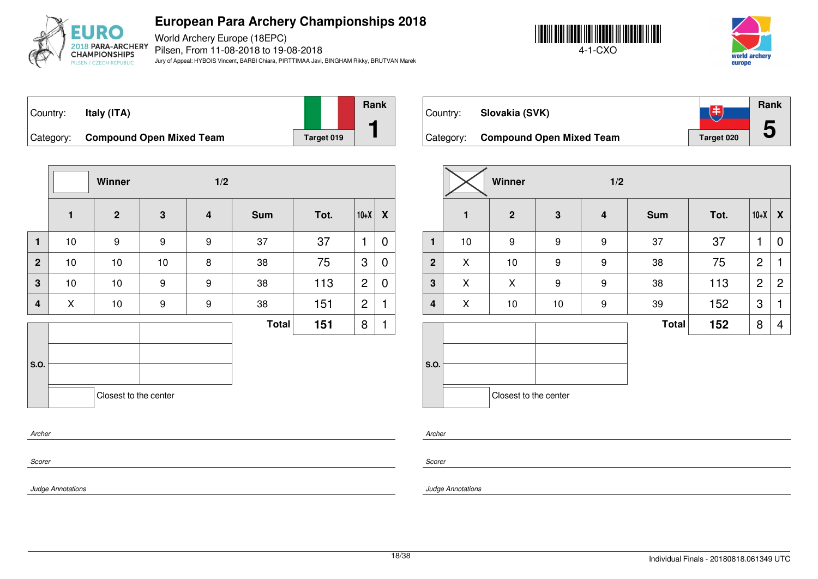

World Archery Europe (18EPC) Pilsen, From 11-08-2018 to 19-08-2018 Jury of Appeal: HYBOIS Vincent, BARBI Chiara, PIRTTIMAA Javi, BINGHAM Rikky, BRUTVAN Marek





Country: **Italy (ITA)** Category: **Compound Open Mixed Team** Target 019 **Rank 1**

**Winner 1/2 1 2 3 4 Sum Tot. 10+X X 1** | 10 | 9 | 9 | 9 | 37 | 37 |1 | 0 **2** | 10 | 10 | 10 | 8 | 38 | 75 |3 | **0 3** | 10 | 10 | 9 | 9 | 38 | 113 |2 | **0 4** | X | 10 | 9 | 9 | 38 | 151 |2 |1 **S.O.**  $Total \t151 \t811$ Closest to the center

**Rank** 飞书 Country: **Slovakia (SVK) 5** Category: **Compound Open Mixed Team** Target 020

|                |              | Winner                | 1/2  |                  |              |      |                |                |  |
|----------------|--------------|-----------------------|------|------------------|--------------|------|----------------|----------------|--|
|                | $\mathbf{1}$ | $\mathbf{2}$          | 3    | $\boldsymbol{4}$ | <b>Sum</b>   | Tot. | $10+X$         | X              |  |
| $\mathbf{1}$   | 10           | 9                     | 9    | 9                | 37           | 37   | 1              | 0              |  |
| $\overline{2}$ | X            | 10                    | 9    | 9                | 38           | 75   | $\overline{2}$ | 1              |  |
| 3              | X            | X                     | 9    | 9                | 38           | 113  | $\overline{2}$ | $\overline{2}$ |  |
| 4              | X            | 10                    | $10$ | 9                | 39           | 152  | 3              | 1              |  |
|                |              |                       |      |                  | <b>Total</b> | 152  | 8              | 4              |  |
| S.O.           |              | Closest to the center |      |                  |              |      |                |                |  |
|                |              |                       |      |                  |              |      |                |                |  |

*Archer*

*Scorer*

*Scorer*

*Archer*

*Judge Annotations*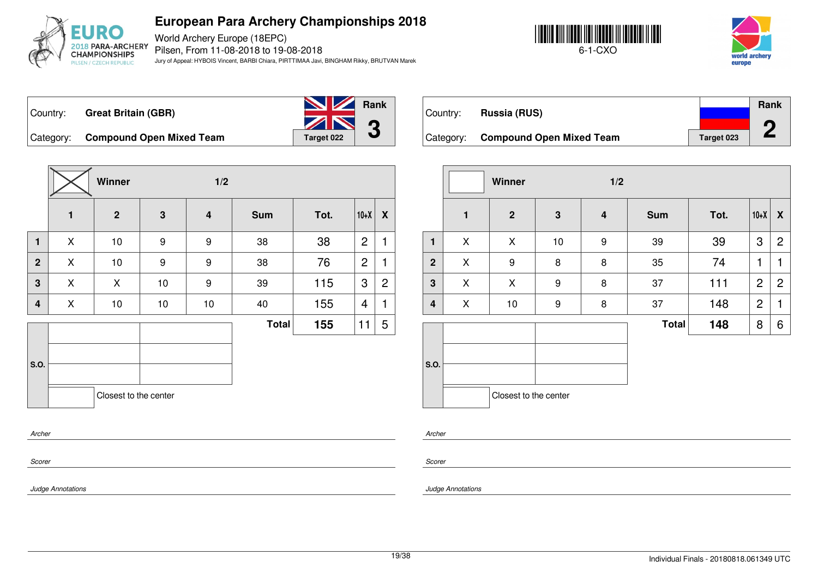

World Archery Europe (18EPC) Pilsen, From 11-08-2018 to 19-08-2018 Jury of Appeal: HYBOIS Vincent, BARBI Chiara, PIRTTIMAA Javi, BINGHAM Rikky, BRUTVAN Marek





Country: **Great Britain (GBR)**



Category: **Compound Open Mixed Team** Target 022

|                |   | Winner                |                  | 1/2 |              |      |                |                  |
|----------------|---|-----------------------|------------------|-----|--------------|------|----------------|------------------|
|                | 1 | $\overline{2}$        | $\mathbf{3}$     | 4   | <b>Sum</b>   | Tot. | $10+X$         | $\boldsymbol{X}$ |
| 1              | X | 10                    | $\boldsymbol{9}$ | 9   | 38           | 38   | 2              | 1                |
| $\overline{2}$ | X | 10                    | 9                | 9   | 38           | 76   | $\overline{c}$ | 1                |
| 3              | X | X                     | 10               | 9   | 39           | 115  | 3              | $\overline{c}$   |
| $\overline{4}$ | X | 10                    | $10$             | 10  | 40           | 155  | 4              | 1                |
|                |   |                       |                  |     | <b>Total</b> | 155  | 11             | 5                |
|                |   |                       |                  |     |              |      |                |                  |
| S.O.           |   |                       |                  |     |              |      |                |                  |
|                |   | Closest to the center |                  |     |              |      |                |                  |
|                |   |                       |                  |     |              |      |                |                  |

|           |                                 |            | <b>Rank</b> |
|-----------|---------------------------------|------------|-------------|
| Country:  | Russia (RUS)                    |            |             |
|           |                                 |            |             |
| Category: | <b>Compound Open Mixed Team</b> | Target 023 |             |

|                         |              | Winner<br>1/2         |                  |                         |              |      |                |                  |
|-------------------------|--------------|-----------------------|------------------|-------------------------|--------------|------|----------------|------------------|
|                         | $\mathbf{1}$ | $\mathbf{2}$          | $\mathbf{3}$     | $\overline{\mathbf{4}}$ | <b>Sum</b>   | Tot. | $10+X$         | $\boldsymbol{X}$ |
| 1                       | X            | X                     | $10$             | 9                       | 39           | 39   | 3              | 2                |
| $\overline{2}$          | X            | 9                     | 8                | 8                       | 35           | 74   | 1              | 1                |
| $\overline{\mathbf{3}}$ | X            | X                     | $\boldsymbol{9}$ | 8                       | 37           | 111  | $\overline{2}$ | $\overline{2}$   |
| 4                       | X            | 10                    | 9                | 8                       | 37           | 148  | $\overline{c}$ | 1                |
|                         |              |                       |                  |                         | <b>Total</b> | 148  | 8              | 6                |
| S.O.                    |              |                       |                  |                         |              |      |                |                  |
|                         |              | Closest to the center |                  |                         |              |      |                |                  |

*Archer*

*Scorer*

*Judge Annotations*

*Archer*

*Scorer*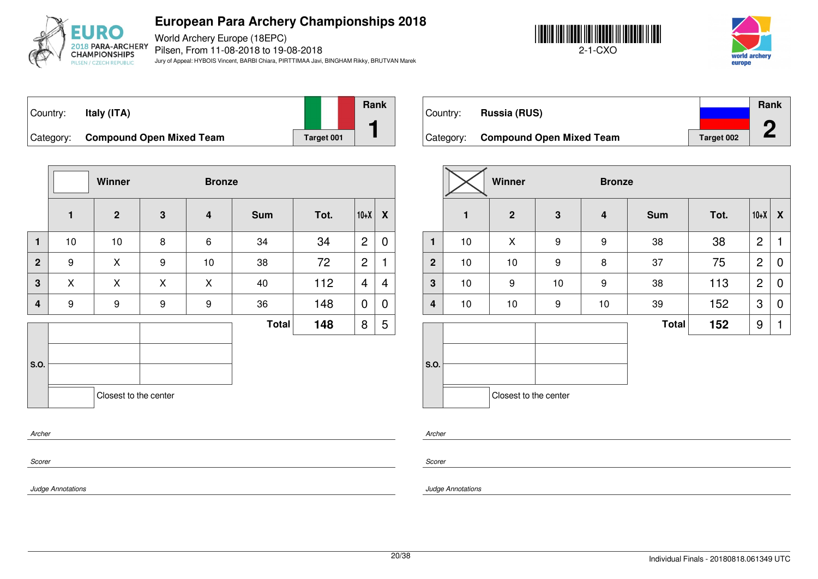

World Archery Europe (18EPC) Pilsen, From 11-08-2018 to 19-08-2018 Jury of Appeal: HYBOIS Vincent, BARBI Chiara, PIRTTIMAA Javi, BINGHAM Rikky, BRUTVAN Marek





| Country:  | Italy (ITA)                     |            | <b>Rank</b> |
|-----------|---------------------------------|------------|-------------|
| Category: | <b>Compound Open Mixed Team</b> | Target 001 |             |

Country: **Russia (RUS)** Category: **Compound Open Mixed Team** Target 002 **Rank 2**

|                         | Winner<br><b>Bronze</b> |                       |                  |                         |              |      |                |                  |  |
|-------------------------|-------------------------|-----------------------|------------------|-------------------------|--------------|------|----------------|------------------|--|
|                         | $\mathbf{1}$            | 2 <sup>2</sup>        | $\mathbf{3}$     | $\overline{\mathbf{4}}$ | <b>Sum</b>   | Tot. | $10+X$         | $\boldsymbol{X}$ |  |
| $\mathbf{1}$            | 10                      | 10                    | 8                | $6\phantom{a}$          | 34           | 34   | $\overline{2}$ | 0                |  |
| $\overline{2}$          | 9                       | X                     | 9                | 10                      | 38           | 72   | $\overline{2}$ | 1                |  |
| $\overline{\mathbf{3}}$ | X                       | X                     | X                | X                       | 40           | 112  | 4              | 4                |  |
| $\overline{\mathbf{4}}$ | $\boldsymbol{9}$        | 9                     | $\boldsymbol{9}$ | $\boldsymbol{9}$        | 36           | 148  | $\overline{0}$ | 0                |  |
|                         |                         |                       |                  |                         | <b>Total</b> | 148  | 8              | 5                |  |
| S.O.                    |                         | Closest to the center |                  |                         |              |      |                |                  |  |
| Archer<br>Scorer        |                         |                       |                  |                         |              |      |                |                  |  |

|                         |              | Winner                |                  |                         | <b>Bronze</b> |      |                |             |  |  |  |
|-------------------------|--------------|-----------------------|------------------|-------------------------|---------------|------|----------------|-------------|--|--|--|
|                         | $\mathbf{1}$ | $\overline{2}$        | 3                | $\overline{\mathbf{4}}$ | <b>Sum</b>    | Tot. | $10+X$         | X           |  |  |  |
| 1                       | 10           | X                     | $\boldsymbol{9}$ | 9                       | 38            | 38   | $\overline{2}$ | 1           |  |  |  |
| $\overline{2}$          | 10           | $10$                  | 9                | 8                       | 37            | 75   | $\overline{c}$ | 0           |  |  |  |
| $\mathbf 3$             | 10           | 9                     | 10               | 9                       | 38            | 113  | $\overline{2}$ | $\mathbf 0$ |  |  |  |
| $\overline{\mathbf{4}}$ | 10           | $10$                  | $\boldsymbol{9}$ | 10                      | 39            | 152  | 3              | 0           |  |  |  |
|                         |              |                       |                  |                         | <b>Total</b>  | 152  | 9              | 1           |  |  |  |
| S.O.                    |              | Closest to the center |                  |                         |               |      |                |             |  |  |  |

*Archer*

*Scorer*

*Judge Annotations*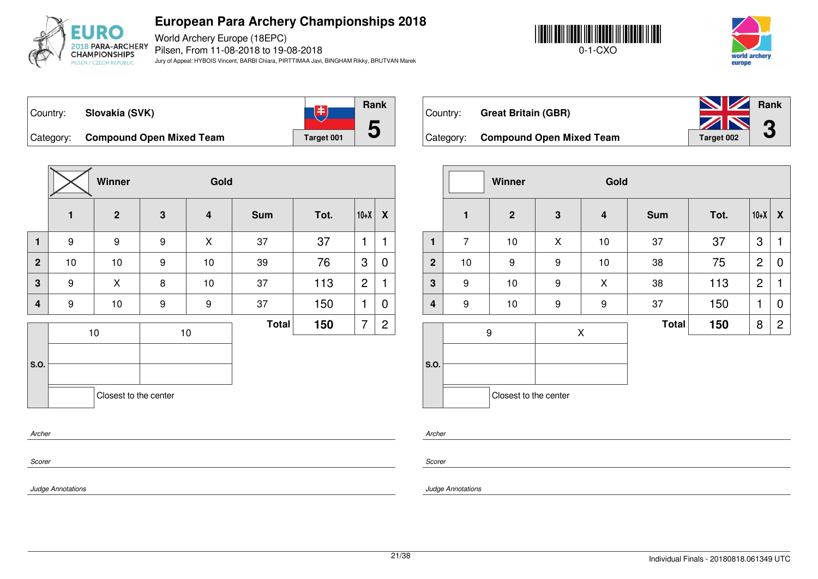

**5**

World Archery Europe (18EPC) Pilsen, From 11-08-2018 to 19-08-2018 Jury of Appeal: HYBOIS Vincent, BARBI Chiara, PIRTTIMAA Javi, BINGHAM Rikky, BRUTVAN Marek





**Rank** 飞 Country: **Slovakia (SVK)** Category: **Compound Open Mixed Team** Target 001

|                         |                | Winner                |             | Gold                    |              |      |                |                |
|-------------------------|----------------|-----------------------|-------------|-------------------------|--------------|------|----------------|----------------|
|                         | $\blacksquare$ | $\overline{2}$        | $\mathbf 3$ | $\overline{\mathbf{4}}$ | <b>Sum</b>   | Tot. | $10+X$         | X              |
| $\mathbf{1}$            | 9              | 9                     | 9           | X                       | 37           | 37   | 1              | 1              |
| $\overline{2}$          | $10$           | 10                    | 9           | 10                      | 39           | 76   | 3              | 0              |
| 3                       | 9              | X                     | 8           | 10                      | 37           | 113  | $\overline{2}$ | 1              |
| $\overline{\mathbf{4}}$ | 9              | 10                    | 9           | 9                       | 37           | 150  | 1              | 0              |
| S.O.                    |                | 10                    |             | 10                      | <b>Total</b> | 150  | 7              | $\overline{2}$ |
|                         |                | Closest to the center |             |                         |              |      |                |                |
| Archer                  |                |                       |             |                         |              |      |                |                |

| Country:  | <b>Great Britain (GBR)</b>      | <b>No. 7 Rank</b><br>ZN | $\bigcap$ |
|-----------|---------------------------------|-------------------------|-----------|
| Category: | <b>Compound Open Mixed Team</b> | <b>Target 002</b>       | J         |

|                |                | Winner                |   | Gold |              |      |                |                  |
|----------------|----------------|-----------------------|---|------|--------------|------|----------------|------------------|
|                | $\mathbf{1}$   | $\mathbf{2}$          | 3 | 4    | <b>Sum</b>   | Tot. | $10+X$         | $\boldsymbol{X}$ |
| $\mathbf{1}$   | $\overline{7}$ | 10                    | X | $10$ | 37           | 37   | 3              | 1                |
| $\overline{2}$ | $10$           | $\boldsymbol{9}$      | 9 | $10$ | 38           | 75   | $\overline{c}$ | 0                |
| 3              | 9              | 10                    | 9 | X    | 38           | 113  | $\overline{2}$ | 1                |
| 4              | 9              | 10                    | 9 | 9    | 37           | 150  | 1              | $\mathbf 0$      |
|                |                | 9                     |   | X    | <b>Total</b> | 150  | 8              | $\overline{2}$   |
|                |                |                       |   |      |              |      |                |                  |
| S.O.           |                |                       |   |      |              |      |                |                  |
|                |                | Closest to the center |   |      |              |      |                |                  |

*Scorer*

*Scorer*

*Archer*

*Judge Annotations*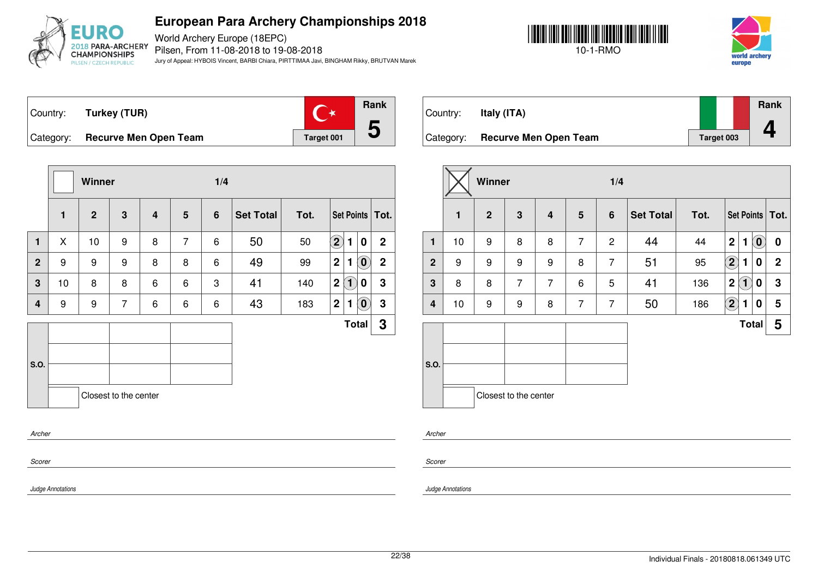

World Archery Europe (18EPC) Pilsen, From 11-08-2018 to 19-08-2018 Jury of Appeal: HYBOIS Vincent, BARBI Chiara, PIRTTIMAA Javi, BINGHAM Rikky, BRUTVAN Marek





Country: **Turkey (TUR)** Category: **Recurve Men Open Team Tanget 001** 



|                |              | Winner       |                       |   |                 | 1/4            |                  |      |              |                                                     |                   |
|----------------|--------------|--------------|-----------------------|---|-----------------|----------------|------------------|------|--------------|-----------------------------------------------------|-------------------|
|                | $\mathbf{1}$ | $\mathbf{2}$ | $\mathbf 3$           | 4 | $5\phantom{.0}$ | $6\phantom{1}$ | <b>Set Total</b> | Tot. |              |                                                     | Set Points   Tot. |
| $\mathbf{1}$   | X            | 10           | 9                     | 8 | $\overline{7}$  | 6              | 50               | 50   | $\bf(2)$     | $\pmb{0}$<br>1                                      | $\overline{2}$    |
| $\overline{2}$ | 9            | 9            | 9                     | 8 | 8               | 6              | 49               | 99   | $\mathbf{2}$ | $\left( \mathbf{0}\right)$<br>1                     | $\mathbf{2}$      |
| 3              | 10           | 8            | 8                     | 6 | 6               | 3              | 41               | 140  | $\mathbf{2}$ | $\bf(1)$<br>$\bf{0}$                                | 3                 |
| $\overline{4}$ | 9            | 9            | $\overline{7}$        | 6 | 6               | 6              | 43               | 183  | $\mathbf{2}$ | $\left[ \begin{matrix} 0 \end{matrix} \right]$<br>1 | 3                 |
|                |              |              |                       |   |                 |                |                  |      |              | <b>Total</b>                                        | 3                 |
| <b>S.O.</b>    |              |              | Closest to the center |   |                 |                |                  |      |              |                                                     |                   |

| Country:  | Italy (ITA)                  |            | Rank |
|-----------|------------------------------|------------|------|
| Category: | <b>Recurve Men Open Team</b> | Target 003 |      |

|                |              | Winner         |                       |                         |                | 1/4             |                  |      |                                                 |                  |
|----------------|--------------|----------------|-----------------------|-------------------------|----------------|-----------------|------------------|------|-------------------------------------------------|------------------|
|                | $\mathbf{1}$ | $\overline{2}$ | 3                     | $\overline{\mathbf{4}}$ | 5              | $6\phantom{1}6$ | <b>Set Total</b> | Tot. | Set Points   Tot.                               |                  |
| $\mathbf{1}$   | 10           | 9              | 8                     | 8                       | $\overline{7}$ | $\overline{2}$  | 44               | 44   | $\left( \mathbf{0}\right)$<br>$\mathbf{2}$<br>1 | $\boldsymbol{0}$ |
| $\overline{2}$ | 9            | 9              | 9                     | 9                       | 8              | $\overline{7}$  | 51               | 95   | $\bf(2)$<br>$\bf{0}$<br>1                       | $\mathbf{2}$     |
| $\mathbf{3}$   | 8            | 8              | $\overline{7}$        | $\overline{7}$          | 6              | 5               | 41               | 136  | $\mathbf{2}$<br>$\left( 1\right)$<br>0          | 3                |
| $\overline{4}$ | 10           | 9              | 9                     | 8                       | $\overline{7}$ | $\overline{7}$  | 50               | 186  | $\left( \mathbf{2}\right)$<br>$\bf{0}$<br>1     | 5                |
|                |              |                |                       |                         |                |                 |                  |      | <b>Total</b>                                    | 5                |
|                |              |                |                       |                         |                |                 |                  |      |                                                 |                  |
| S.O.           |              |                |                       |                         |                |                 |                  |      |                                                 |                  |
|                |              |                | Closest to the center |                         |                |                 |                  |      |                                                 |                  |

*Archer*

*Scorer*

*Judge Annotations*

*Archer*

*Scorer*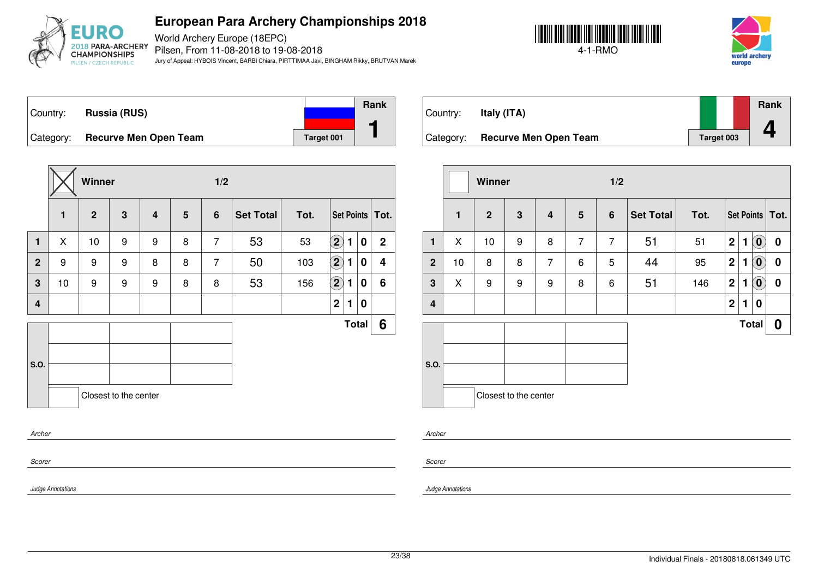

World Archery Europe (18EPC) Pilsen, From 11-08-2018 to 19-08-2018 Jury of Appeal: HYBOIS Vincent, BARBI Chiara, PIRTTIMAA Javi, BINGHAM Rikky, BRUTVAN Marek





Country: **Russia (RUS)** Category: **Recurve Men Open Team Tanget 001 Rank 1**

|                |              | Winner         |                       |                         |                 | 1/2            |                  |      |                            |   |              |                   |
|----------------|--------------|----------------|-----------------------|-------------------------|-----------------|----------------|------------------|------|----------------------------|---|--------------|-------------------|
|                | $\mathbf{1}$ | $\overline{2}$ | $\mathbf{3}$          | $\overline{\mathbf{4}}$ | $5\phantom{.0}$ | $6\phantom{1}$ | <b>Set Total</b> | Tot. |                            |   |              | Set Points   Tot. |
| $\mathbf{1}$   | X            | 10             | 9                     | 9                       | 8               | $\overline{7}$ | 53               | 53   | $\left( \mathbf{2}\right)$ | 1 | 0            | $\mathbf 2$       |
| $\overline{2}$ | 9            | 9              | 9                     | 8                       | 8               | $\overline{7}$ | 50               | 103  | $\bf(2)$                   | 1 | 0            | 4                 |
| $\mathbf 3$    | 10           | 9              | 9                     | 9                       | 8               | 8              | 53               | 156  | $\left( \mathbf{2}\right)$ | 1 | 0            | 6                 |
| $\overline{4}$ |              |                |                       |                         |                 |                |                  |      | $\mathbf 2$                | 1 | 0            |                   |
|                |              |                |                       |                         |                 |                |                  |      |                            |   | <b>Total</b> | 6                 |
|                |              |                |                       |                         |                 |                |                  |      |                            |   |              |                   |
| S.O.           |              |                |                       |                         |                 |                |                  |      |                            |   |              |                   |
|                |              |                | Closest to the center |                         |                 |                |                  |      |                            |   |              |                   |
| Archer         |              |                |                       |                         |                 |                |                  |      |                            |   |              |                   |

| Country:  | Italy (ITA)                  |            | Rank |
|-----------|------------------------------|------------|------|
|           |                              |            |      |
| Category: | <b>Recurve Men Open Team</b> | Target 003 |      |

|                         |              | Winner         |                         |                         | 1/2            |                |                  |      |                  |              |                        |                   |
|-------------------------|--------------|----------------|-------------------------|-------------------------|----------------|----------------|------------------|------|------------------|--------------|------------------------|-------------------|
|                         | $\mathbf{1}$ | $\overline{2}$ | $\overline{\mathbf{3}}$ | $\overline{\mathbf{4}}$ | $5\phantom{1}$ | 6              | <b>Set Total</b> | Tot. |                  |              |                        | Set Points   Tot. |
| $\mathbf{1}$            | X            | 10             | 9                       | 8                       | $\overline{7}$ | $\overline{7}$ | 51               | 51   | $\mathbf 2$      | 1            | $\mathbf{O}$           | $\boldsymbol{0}$  |
| $\overline{2}$          | 10           | 8              | 8                       | $\overline{7}$          | 6              | 5              | 44               | 95   | $\mathbf 2$      | 1            | $\tilde{(\mathbf{0})}$ | $\boldsymbol{0}$  |
| $\mathbf{3}$            | X            | 9              | 9                       | 9                       | 8              | 6              | 51               | 146  | $\mathbf 2$      | 1            | $\left( 0 \right)$     | $\boldsymbol{0}$  |
| $\overline{\mathbf{4}}$ |              |                |                         |                         |                |                |                  |      | $\boldsymbol{2}$ | $\mathbf{1}$ | 0                      |                   |
|                         |              |                |                         |                         |                |                |                  |      |                  |              | <b>Total</b>           | $\boldsymbol{0}$  |
|                         |              |                |                         |                         |                |                |                  |      |                  |              |                        |                   |
| S.O.                    |              |                |                         |                         |                |                |                  |      |                  |              |                        |                   |
|                         |              |                | Closest to the center   |                         |                |                |                  |      |                  |              |                        |                   |

*Scorer*

*Scorer*

*Archer*

*Judge Annotations*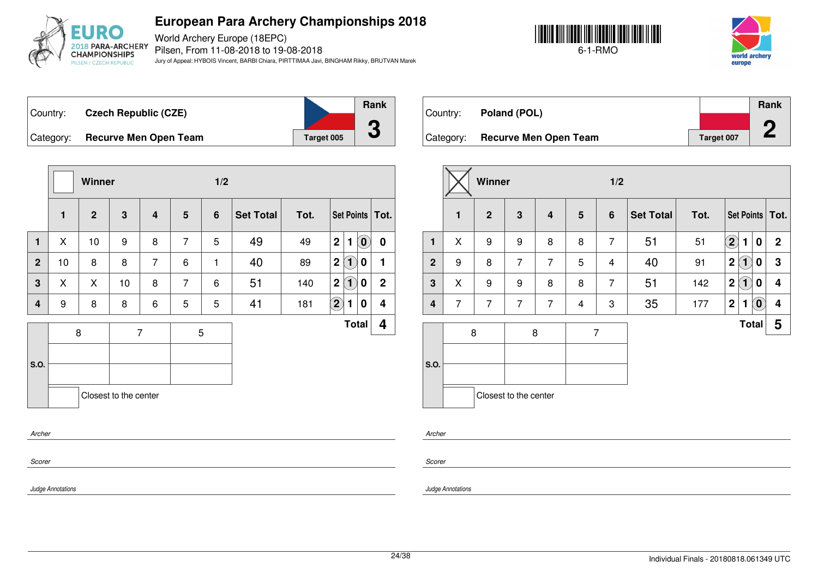

World Archery Europe (18EPC) Pilsen, From 11-08-2018 to 19-08-2018 Jury of Appeal: HYBOIS Vincent, BARBI Chiara, PIRTTIMAA Javi, BINGHAM Rikky, BRUTVAN Marek





**Rank**

**2**

Country: **Czech Republic (CZE)** Category: **Recurve Men Open Team Tanget 005** 



Country: **Poland (POL)** Category: **Recurve Men Open Team Target 007** 

|                  |              | Winner         |                       |                         |                 | 1/2            |                  |      |                         |                   |                            |                   |
|------------------|--------------|----------------|-----------------------|-------------------------|-----------------|----------------|------------------|------|-------------------------|-------------------|----------------------------|-------------------|
|                  | $\mathbf{1}$ | $\overline{2}$ | 3                     | $\overline{\mathbf{4}}$ | $5\phantom{.0}$ | $6\phantom{1}$ | <b>Set Total</b> | Tot. |                         |                   |                            | Set Points   Tot. |
| $\mathbf{1}$     | X            | 10             | 9                     | 8                       | $\overline{7}$  | 5              | 49               | 49   | $\mathbf{2}$            | 1                 | $\left( \mathbf{0}\right)$ | $\bf{0}$          |
| $\overline{2}$   | 10           | 8              | 8                     | $\overline{7}$          | 6               | $\mathbf{1}$   | 40               | 89   | 2                       | $\left( 1\right)$ | 0                          | 1                 |
| 3                | X            | X              | 10                    | 8                       | $\overline{7}$  | 6              | 51               | 140  | $\overline{\mathbf{2}}$ | $\overline{1}$    | 0                          | $\mathbf{2}$      |
| 4                | 9            | 8              | 8                     | 6                       | 5               | 5              | 41               | 181  | $\mathbf{2}$            | 1                 | 0                          | 4                 |
|                  |              | 8              | $\overline{7}$        |                         | $\mathbf 5$     |                |                  |      |                         |                   | <b>Total</b>               | 4                 |
| S.O.             |              |                | Closest to the center |                         |                 |                |                  |      |                         |                   |                            |                   |
| Archer<br>Scorer |              |                |                       |                         |                 |                |                  |      |                         |                   |                            |                   |

|                  |                | Winner         |                         |                |                 | 1/2            |                  |      |             |                   |                    |                         |
|------------------|----------------|----------------|-------------------------|----------------|-----------------|----------------|------------------|------|-------------|-------------------|--------------------|-------------------------|
|                  | $\mathbf{1}$   | $\overline{2}$ | $\overline{\mathbf{3}}$ | $\overline{4}$ | $5\phantom{.0}$ | $6\phantom{1}$ | <b>Set Total</b> | Tot. |             |                   |                    | Set Points   Tot.       |
| $\mathbf{1}$     | X              | 9              | 9                       | 8              | 8               | $\overline{7}$ | 51               | 51   | $\bf{(2)}$  | 1                 | $\bf{0}$           | $\mathbf{2}$            |
| $\overline{2}$   | 9              | 8              | $\overline{7}$          | $\overline{7}$ | 5               | 4              | 40               | 91   | $\mathbf 2$ | $\left( 1\right)$ | 0                  | $\mathbf 3$             |
| $\mathbf{3}$     | X              | 9              | 9                       | 8              | 8               | $\overline{7}$ | 51               | 142  | $\mathbf 2$ | $\bf(1)$          | $\bf{0}$           | 4                       |
| $\boldsymbol{4}$ | $\overline{7}$ | $\overline{7}$ | 7                       | $\overline{7}$ | 4               | 3              | 35               | 177  | $\mathbf 2$ | 1                 | $\left( 0 \right)$ | $\overline{\mathbf{4}}$ |
|                  | 8              |                | 8                       |                | $\overline{7}$  |                |                  |      |             | <b>Total</b>      |                    | 5                       |
|                  |                |                |                         |                |                 |                |                  |      |             |                   |                    |                         |
| S.O.             |                |                |                         |                |                 |                |                  |      |             |                   |                    |                         |
|                  |                |                | Closest to the center   |                |                 |                |                  |      |             |                   |                    |                         |

*Scorer*

*Judge Annotations*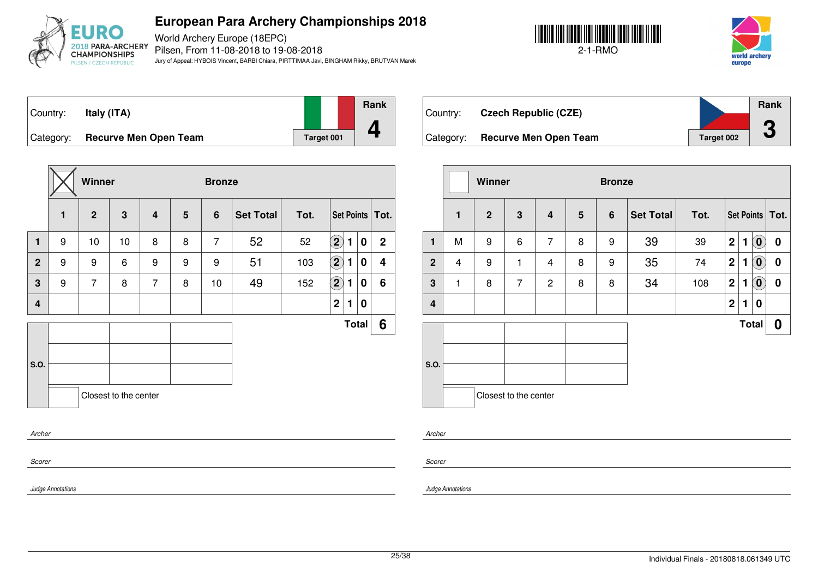

World Archery Europe (18EPC) Pilsen, From 11-08-2018 to 19-08-2018 Jury of Appeal: HYBOIS Vincent, BARBI Chiara, PIRTTIMAA Javi, BINGHAM Rikky, BRUTVAN Marek





Country: **Italy (ITA)** Category: **Recurve Men Open Team Tanget 001 Rank 4**

|                |              | Winner         |                       |                         |                | <b>Bronze</b>  |                  |      |                            |   |              |                   |
|----------------|--------------|----------------|-----------------------|-------------------------|----------------|----------------|------------------|------|----------------------------|---|--------------|-------------------|
|                | $\mathbf{1}$ | $\overline{2}$ | $\mathbf{3}$          | $\overline{\mathbf{4}}$ | $5\phantom{1}$ | $6\phantom{1}$ | <b>Set Total</b> | Tot. |                            |   |              | Set Points   Tot. |
| $\mathbf{1}$   | 9            | 10             | 10                    | 8                       | 8              | $\overline{7}$ | 52               | 52   | $\left( \mathbf{2}\right)$ | 1 | $\pmb{0}$    | $\mathbf{2}$      |
| $\overline{2}$ | 9            | 9              | 6                     | 9                       | 9              | 9              | 51               | 103  | $\left( 2\right)$          | 1 | 0            | 4                 |
| 3              | 9            | $\overline{7}$ | 8                     | $\overline{7}$          | 8              | 10             | 49               | 152  | $\bigcirc$                 | 1 | 0            | 6                 |
| 4              |              |                |                       |                         |                |                |                  |      | $\overline{\mathbf{2}}$    | 1 | 0            |                   |
|                |              |                |                       |                         |                |                |                  |      |                            |   | <b>Total</b> | 6                 |
|                |              |                |                       |                         |                |                |                  |      |                            |   |              |                   |
| S.O.           |              |                |                       |                         |                |                |                  |      |                            |   |              |                   |
|                |              |                | Closest to the center |                         |                |                |                  |      |                            |   |              |                   |
| Archer         |              |                |                       |                         |                |                |                  |      |                            |   |              |                   |

| Country:  | <b>Czech Republic (CZE)</b>  |            | Rank |
|-----------|------------------------------|------------|------|
| Category: | <b>Recurve Men Open Team</b> | Target 002 |      |

|              |              | Winner         |                       |                |                 | <b>Bronze</b>  |                  |      |                  |              |                            |                   |
|--------------|--------------|----------------|-----------------------|----------------|-----------------|----------------|------------------|------|------------------|--------------|----------------------------|-------------------|
|              | $\mathbf{1}$ | $\overline{2}$ | 3                     | 4              | $5\phantom{.0}$ | $6\phantom{1}$ | <b>Set Total</b> | Tot. |                  |              |                            | Set Points   Tot. |
| 1            | M            | 9              | 6                     | $\overline{7}$ | 8               | 9              | 39               | 39   | $\mathbf 2$      | 1            | $\left( \mathbf{0}\right)$ | $\bf{0}$          |
| $\mathbf{2}$ | 4            | 9              | 1                     | 4              | 8               | 9              | 35               | 74   | $\mathbf 2$      | 1            | $\left( \mathbf{0}\right)$ | 0                 |
| $\mathbf 3$  | $\mathbf{1}$ | 8              | $\overline{7}$        | $\overline{2}$ | 8               | 8              | 34               | 108  | $\mathbf 2$      | 1            | $\left( \mathbf{0}\right)$ | 0                 |
| 4            |              |                |                       |                |                 |                |                  |      | $\boldsymbol{2}$ | 1            | 0                          |                   |
|              |              |                |                       |                |                 |                |                  |      |                  | <b>Total</b> |                            | 0                 |
| S.O.         |              |                |                       |                |                 |                |                  |      |                  |              |                            |                   |
|              |              |                | Closest to the center |                |                 |                |                  |      |                  |              |                            |                   |

*Archer*

*Scorer*

*Judge Annotations*

*Scorer*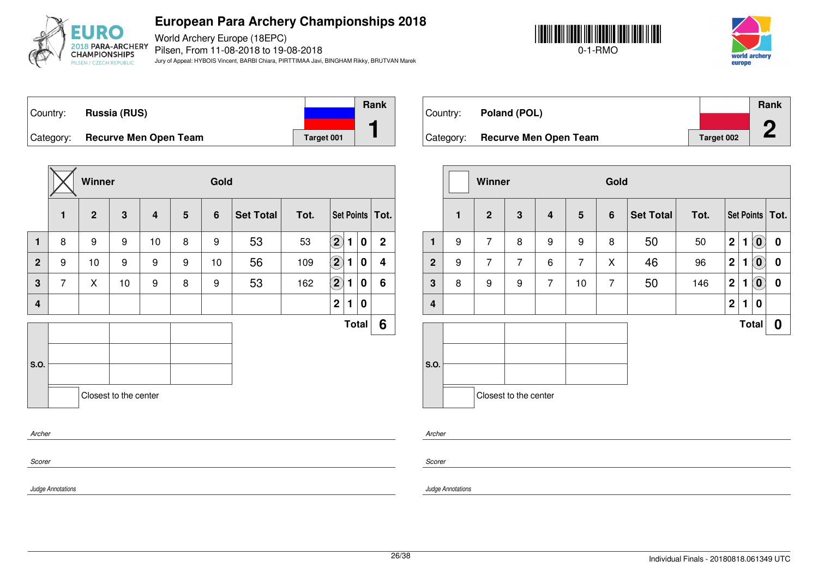

World Archery Europe (18EPC) Pilsen, From 11-08-2018 to 19-08-2018 Jury of Appeal: HYBOIS Vincent, BARBI Chiara, PIRTTIMAA Javi, BINGHAM Rikky, BRUTVAN Marek





Country: **Russia (RUS)** Category: **Recurve Men Open Team Tanget 001 Rank 1**

|                  |                | Winner         |                         |                |                | Gold           |                  |      |                                 |              |                |  |
|------------------|----------------|----------------|-------------------------|----------------|----------------|----------------|------------------|------|---------------------------------|--------------|----------------|--|
|                  | $\mathbf{1}$   | $\overline{2}$ | $\overline{\mathbf{3}}$ | $\overline{4}$ | $5\phantom{1}$ | $6\phantom{1}$ | <b>Set Total</b> | Tot. | Set Points   Tot.               |              |                |  |
| $\mathbf{1}$     | 8              | 9              | 9                       | 10             | 8              | 9              | 53               | 53   | $\mathbf{2}$<br>1               | $\mathbf 0$  | $\overline{2}$ |  |
| $\overline{2}$   | 9              | 10             | 9                       | 9              | 9              | 10             | 56               | 109  | $\left( \mathbf{2}\right)$<br>1 | 0            | 4              |  |
| 3                | $\overline{7}$ | X              | 10                      | 9              | 8              | 9              | 53               | 162  | $\mathbf{2}$<br>1               | $\bf{0}$     | 6              |  |
| $\boldsymbol{4}$ |                |                |                         |                |                |                |                  |      | $\mathbf 2$<br>1                | $\bf{0}$     |                |  |
|                  |                |                |                         |                |                |                |                  |      |                                 | <b>Total</b> | 6              |  |
|                  |                |                |                         |                |                |                |                  |      |                                 |              |                |  |
| S.O.             |                |                |                         |                |                |                |                  |      |                                 |              |                |  |
|                  |                |                | Closest to the center   |                |                |                |                  |      |                                 |              |                |  |
| Archer           |                |                |                         |                |                |                |                  |      |                                 |              |                |  |

| Country:  | Poland (POL)                 |            | Rank<br>œ |
|-----------|------------------------------|------------|-----------|
| Category: | <b>Recurve Men Open Team</b> | Target 002 |           |

|                         |              | Winner         |                       |                         |                 | Gold           |                  |      |                  |              |                            |                   |
|-------------------------|--------------|----------------|-----------------------|-------------------------|-----------------|----------------|------------------|------|------------------|--------------|----------------------------|-------------------|
|                         | $\mathbf{1}$ | $\overline{2}$ | 3                     | $\overline{\mathbf{4}}$ | $5\phantom{.0}$ | 6              | <b>Set Total</b> | Tot. |                  |              |                            | Set Points   Tot. |
| 1                       | 9            | $\overline{7}$ | 8                     | 9                       | 9               | 8              | 50               | 50   | $\overline{2}$   | 1            | $\left( \mathbf{0}\right)$ | $\bf{0}$          |
| $\overline{2}$          | 9            | $\overline{7}$ | $\overline{7}$        | 6                       | $\overline{7}$  | X              | 46               | 96   | $\overline{2}$   | 1            | $\mathbf{0}^{\prime}$      | 0                 |
| $\mathbf{3}$            | 8            | 9              | 9                     | $\overline{7}$          | 10              | $\overline{7}$ | 50               | 146  | $\overline{2}$   | 1            | $\left( \mathbf{0}\right)$ | 0                 |
| $\overline{\mathbf{4}}$ |              |                |                       |                         |                 |                |                  |      | $\boldsymbol{2}$ | 1            | 0                          |                   |
|                         |              |                |                       |                         |                 |                |                  |      |                  | <b>Total</b> |                            | 0                 |
| S.O.                    |              |                |                       |                         |                 |                |                  |      |                  |              |                            |                   |
|                         |              |                | Closest to the center |                         |                 |                |                  |      |                  |              |                            |                   |

*Scorer*

*Scorer*

*Archer*

*Judge Annotations*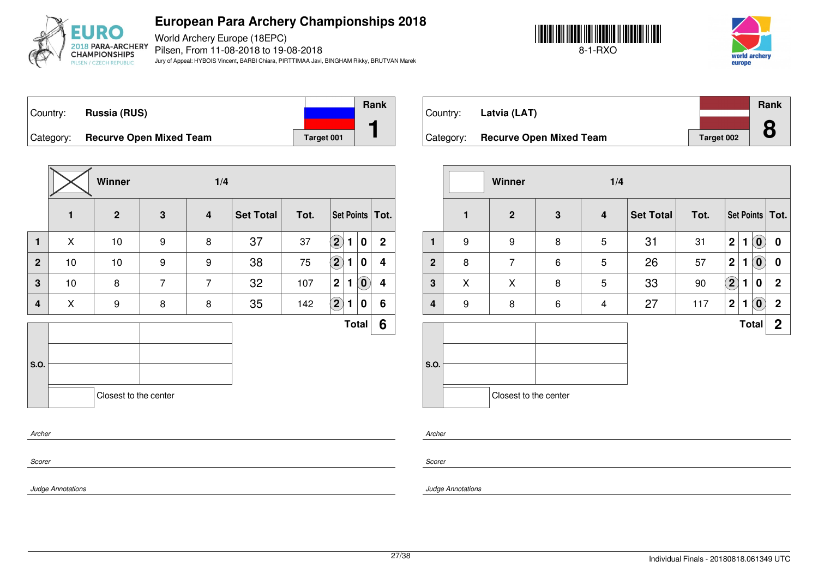

World Archery Europe (18EPC) Pilsen, From 11-08-2018 to 19-08-2018 Jury of Appeal: HYBOIS Vincent, BARBI Chiara, PIRTTIMAA Javi, BINGHAM Rikky, BRUTVAN Marek





Country: **Russia (RUS)** Category: **Recurve Open Mixed Team Target 001 Rank 1**

|                |              | Winner                |                | 1/4                     |                  |      |                            |   |                                                         |                   |
|----------------|--------------|-----------------------|----------------|-------------------------|------------------|------|----------------------------|---|---------------------------------------------------------|-------------------|
|                | $\mathbf{1}$ | $\overline{2}$        | 3              | $\overline{\mathbf{4}}$ | <b>Set Total</b> | Tot. |                            |   |                                                         | Set Points   Tot. |
| $\blacksquare$ | X            | 10                    | 9              | 8                       | 37               | 37   | $\left( \mathbf{2}\right)$ | 1 | 0                                                       | $\overline{2}$    |
| $\mathbf{2}$   | 10           | 10                    | 9              | 9                       | 38               | 75   | $\bf (2)$                  | 1 | 0                                                       | 4                 |
| 3              | 10           | 8                     | $\overline{7}$ | $\overline{7}$          | 32               | 107  | $\mathbf 2$                | 1 | $\left( \begin{matrix} \textbf{0} \end{matrix} \right)$ | 4                 |
| 4              | X            | 9                     | 8              | 8                       | 35               | 142  | $\mathbf{2}$               | 1 | 0                                                       | 6                 |
|                |              |                       |                |                         |                  |      |                            |   | <b>Total</b>                                            | 6                 |
| S.O.           |              |                       |                |                         |                  |      |                            |   |                                                         |                   |
|                |              | Closest to the center |                |                         |                  |      |                            |   |                                                         |                   |
| Archer         |              |                       |                |                         |                  |      |                            |   |                                                         |                   |

| Country:  | Latvia (LAT)                   |            | <b>Rank</b> |
|-----------|--------------------------------|------------|-------------|
|           |                                |            |             |
| Category: | <b>Recurve Open Mixed Team</b> | Target 002 |             |

|                |              | Winner                |                 | 1/4 |                  |      |                            |   |                            |                   |
|----------------|--------------|-----------------------|-----------------|-----|------------------|------|----------------------------|---|----------------------------|-------------------|
|                | $\mathbf{1}$ | $\overline{2}$        | $\mathbf{3}$    | 4   | <b>Set Total</b> | Tot. |                            |   |                            | Set Points   Tot. |
| $\mathbf{1}$   | 9            | 9                     | 8               | 5   | 31               | 31   | $\overline{\mathbf{2}}$    | 1 | $\left( \mathbf{0}\right)$ | 0                 |
| $\overline{2}$ | 8            | $\overline{7}$        | $6\phantom{1}6$ | 5   | 26               | 57   | $\mathbf{2}$               | 1 | $\overline{\mathbf{0}}$    | $\bf{0}$          |
| 3              | X            | X                     | 8               | 5   | 33               | 90   | $\left( \mathbf{2}\right)$ | 1 | 0                          | $\mathbf 2$       |
| 4              | 9            | 8                     | $\,6$           | 4   | 27               | 117  | $\overline{2}$             | 1 | $\left( \mathbf{0}\right)$ | $\mathbf 2$       |
|                |              |                       |                 |     |                  |      |                            |   | <b>Total</b>               | $\boldsymbol{2}$  |
| S.O.           |              | Closest to the center |                 |     |                  |      |                            |   |                            |                   |

*Archer*

*Scorer*

*Judge Annotations*

*Scorer*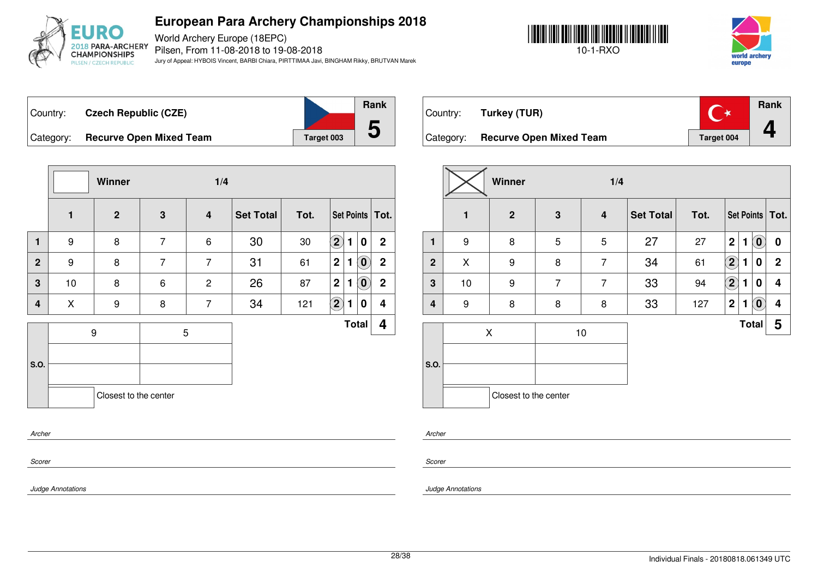

World Archery Europe (18EPC) Pilsen, From 11-08-2018 to 19-08-2018 Jury of Appeal: HYBOIS Vincent, BARBI Chiara, PIRTTIMAA Javi, BINGHAM Rikky, BRUTVAN Marek





**Rank**

**4**

Country: **Czech Republic (CZE)** Category: **Recurve Open Mixed Team Target 103** Target



|                | <b>Rank</b> |
|----------------|-------------|
|                |             |
| <b>get 003</b> |             |

 $\mathbb{C}^*$ Country: **Turkey (TUR)** Category: **Recurve Open Mixed Team Target 004** 

|                |                  | Winner                |                | 1/4                     |                  |      |                            |   |                            |                         |
|----------------|------------------|-----------------------|----------------|-------------------------|------------------|------|----------------------------|---|----------------------------|-------------------------|
|                | $\mathbf{1}$     | $\mathbf{2}$          | 3              | $\overline{\mathbf{4}}$ | <b>Set Total</b> | Tot. |                            |   |                            | Set Points   Tot.       |
| $\mathbf{1}$   | $\boldsymbol{9}$ | 8                     | $\overline{7}$ | 6                       | 30               | 30   | $\left( \mathbf{2}\right)$ | 1 | 0                          | $\overline{2}$          |
| $\overline{2}$ | 9                | 8                     | $\overline{7}$ | $\overline{7}$          | 31               | 61   | $\mathbf{2}$               | 1 | $\left( \mathbf{0}\right)$ | $\overline{2}$          |
| 3              | 10               | 8                     | 6              | $\overline{c}$          | 26               | 87   | $\mathbf{2}$               | 1 | $\left( \mathbf{0}\right)$ | $\overline{\mathbf{2}}$ |
| 4              | X                | 9                     | 8              | $\overline{7}$          | 34               | 121  | $\bf(2)$                   | 1 | 0                          | 4                       |
|                |                  | 9                     | 5              |                         |                  |      |                            |   | <b>Total</b>               | 4                       |
|                |                  |                       |                |                         |                  |      |                            |   |                            |                         |
| S.O.           |                  |                       |                |                         |                  |      |                            |   |                            |                         |
|                |                  | Closest to the center |                |                         |                  |      |                            |   |                            |                         |
|                |                  |                       |                |                         |                  |      |                            |   |                            |                         |
| Archer         |                  |                       |                |                         |                  |      |                            |   |                            |                         |
| Scorer         |                  |                       |                |                         |                  |      |                            |   |                            |                         |

|                |                  | Winner                |                | 1/4            |                  |      |                            |              |                            |                         |
|----------------|------------------|-----------------------|----------------|----------------|------------------|------|----------------------------|--------------|----------------------------|-------------------------|
|                | $\mathbf{1}$     | $\mathbf{2}$          | $\mathbf{3}$   | 4              | <b>Set Total</b> | Tot. |                            |              |                            | Set Points   Tot.       |
| $\mathbf{1}$   | 9                | 8                     | 5              | 5              | 27               | 27   | $\mathbf 2$                | 1            | $\left( \mathbf{0}\right)$ | $\bf{0}$                |
| $\overline{2}$ | X                | 9                     | 8              | $\overline{7}$ | 34               | 61   | $\left( \mathbf{2}\right)$ | 1            | $\boldsymbol{0}$           | $\mathbf 2$             |
| 3              | 10               | 9                     | $\overline{7}$ | $\overline{7}$ | 33               | 94   | $\mathbf{\Omega}$          | 1            | 0                          | 4                       |
| $\overline{4}$ | $\boldsymbol{9}$ | 8                     | 8              | 8              | 33               | 127  | $\mathbf 2$                | 1            | $\alpha$                   | $\overline{\mathbf{4}}$ |
|                |                  | X                     |                | 10             |                  |      |                            | <b>Total</b> |                            | 5                       |
|                |                  |                       |                |                |                  |      |                            |              |                            |                         |
| S.O.           |                  |                       |                |                |                  |      |                            |              |                            |                         |
|                |                  | Closest to the center |                |                |                  |      |                            |              |                            |                         |

*Archer*

*Scorer*

*Judge Annotations*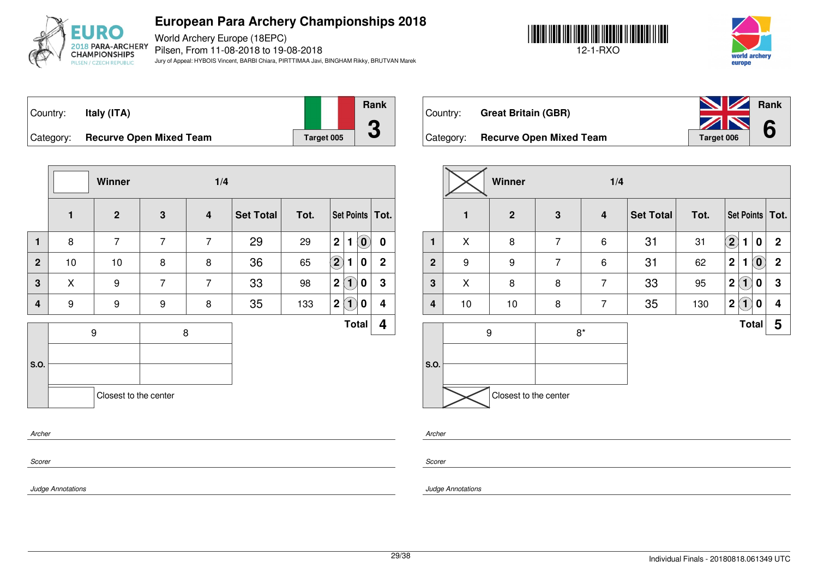

World Archery Europe (18EPC) Pilsen, From 11-08-2018 to 19-08-2018 Jury of Appeal: HYBOIS Vincent, BARBI Chiara, PIRTTIMAA Javi, BINGHAM Rikky, BRUTVAN Marek





**Rank**

**6**

| Country:  | Italy (ITA)                    |            | Ran |
|-----------|--------------------------------|------------|-----|
|           |                                |            |     |
| Category: | <b>Recurve Open Mixed Team</b> | Target 005 |     |

**Rank**



Country: **Great Britain (GBR)**

|              |    | Winner                |                | 1/4                     |                  |      |                |                   |                            |                         |
|--------------|----|-----------------------|----------------|-------------------------|------------------|------|----------------|-------------------|----------------------------|-------------------------|
|              | 1  | $\overline{2}$        | 3              | $\overline{\mathbf{4}}$ | <b>Set Total</b> | Tot. |                |                   |                            | Set Points   Tot.       |
| $\mathbf{1}$ | 8  | $\overline{7}$        | $\overline{7}$ | $\overline{7}$          | 29               | 29   | 2 <sup>1</sup> | $\mathbf{1}$      | $\left( \mathbf{0}\right)$ | 0                       |
| $\mathbf{2}$ | 10 | $10$                  | 8              | 8                       | 36               | 65   | $\bigcirc$     | 1                 | 0                          | $\overline{2}$          |
| 3            | X  | 9                     | $\overline{7}$ | $\overline{7}$          | 33               | 98   | $\mathbf 2$    | $\left( 1\right)$ | 0                          | 3                       |
| 4            | 9  | 9                     | 9              | 8                       | 35               | 133  | $\mathbf{2}$   | (1)               | 0                          | $\overline{\mathbf{4}}$ |
| S.O.         |    | 9                     |                | 8                       |                  |      |                |                   | <b>Total</b>               | 4                       |
|              |    | Closest to the center |                |                         |                  |      |                |                   |                            |                         |
| Archer       |    |                       |                |                         |                  |      |                |                   |                            |                         |

|                         |    | Winner                |                | 1/4            |                  |      |                  |              |                            |                         |
|-------------------------|----|-----------------------|----------------|----------------|------------------|------|------------------|--------------|----------------------------|-------------------------|
|                         | 1  | $\overline{2}$        | $\mathbf{3}$   | 4              | <b>Set Total</b> | Tot. |                  |              |                            | Set Points   Tot.       |
| 1                       | X  | $\bf 8$               | $\overline{7}$ | $\,6$          | 31               | 31   | $\mathbf{2}$     | 1            | 0                          | $\boldsymbol{2}$        |
| $\overline{2}$          | 9  | $\boldsymbol{9}$      | $\overline{7}$ | 6              | 31               | 62   | $\mathbf 2$      | 1            | $\left( \mathbf{0}\right)$ | $\mathbf{2}$            |
| 3                       | X  | 8                     | 8              | $\overline{7}$ | 33               | 95   | $\mathbf 2$      | $\mathbf{1}$ | 0                          | $\mathbf 3$             |
| $\overline{\mathbf{4}}$ | 10 | $10$                  | 8              | $\overline{7}$ | 35               | 130  | $\boldsymbol{2}$ | $\mathbf{1}$ | 0                          | $\overline{\mathbf{4}}$ |
|                         |    | $\boldsymbol{9}$      | $8*$           |                |                  |      |                  | <b>Total</b> |                            | 5                       |
|                         |    |                       |                |                |                  |      |                  |              |                            |                         |
| S.O.                    |    |                       |                |                |                  |      |                  |              |                            |                         |
|                         |    | Closest to the center |                |                |                  |      |                  |              |                            |                         |

*Archer*

*Scorer*

*Judge Annotations*

*Scorer*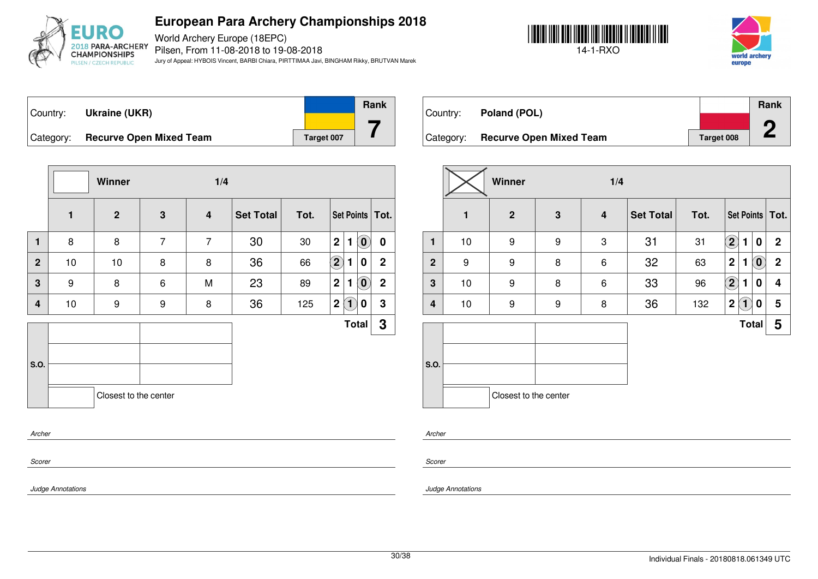

World Archery Europe (18EPC) Pilsen, From 11-08-2018 to 19-08-2018 Jury of Appeal: HYBOIS Vincent, BARBI Chiara, PIRTTIMAA Javi, BINGHAM Rikky, BRUTVAN Marek





Country: **Ukraine (UKR)** Category: **Recurve Open Mixed Team Target 10** Target



|          | Rank |
|----------|------|
|          |      |
| get 007: |      |

Country: **Poland (POL)** Category: **Recurve Open Mixed Team Target 008 Rank 2**

|                  |                  | Winner                |                  | 1/4                     |                  |      |                                                           |             |
|------------------|------------------|-----------------------|------------------|-------------------------|------------------|------|-----------------------------------------------------------|-------------|
|                  | $\mathbf{1}$     | $\overline{2}$        | 3                | $\overline{\mathbf{4}}$ | <b>Set Total</b> | Tot. | Set Points   Tot.                                         |             |
| $\mathbf{1}$     | 8                | 8                     | $\overline{7}$   | 7                       | 30               | 30   | $\left( \mathbf{0}\right)$<br>$\mathbf 2$<br>$\mathbf{1}$ | 0           |
| $\overline{2}$   | 10               | 10                    | 8                | 8                       | 36               | 66   | $\bf \overline{2}$<br>0<br>1                              | $\mathbf 2$ |
| 3                | $\boldsymbol{9}$ | 8                     | 6                | M                       | 23               | 89   | $\mathbf 2$<br>$\left[ \mathbf{0}\right]$<br>$\mathbf{1}$ | $\mathbf 2$ |
| 4                | 10               | 9                     | $\boldsymbol{9}$ | 8                       | 36               | 125  | $\mathbf 2$<br>$(\mathbf{1})$<br>0                        | $\mathbf 3$ |
|                  |                  |                       |                  |                         |                  |      | <b>Total</b>                                              | 3           |
| S.O.             |                  |                       |                  |                         |                  |      |                                                           |             |
|                  |                  | Closest to the center |                  |                         |                  |      |                                                           |             |
|                  |                  |                       |                  |                         |                  |      |                                                           |             |
| Archer<br>Scorer |                  |                       |                  |                         |                  |      |                                                           |             |

|                |    | Winner                |   | 1/4   |                  |      |                            |              |                            |                   |
|----------------|----|-----------------------|---|-------|------------------|------|----------------------------|--------------|----------------------------|-------------------|
|                | 1  | $\overline{2}$        | 3 | 4     | <b>Set Total</b> | Tot. |                            |              |                            | Set Points   Tot. |
| 1              | 10 | 9                     | 9 | 3     | 31               | 31   | $\bf (2)$                  | 1            | $\bf{0}$                   | $\mathbf 2$       |
| $\overline{2}$ | 9  | 9                     | 8 | $\,6$ | 32               | 63   | $\mathbf 2$                | 1            | $\left[ \mathbf{0}\right]$ | $\mathbf 2$       |
| $\mathbf 3$    | 10 | 9                     | 8 | 6     | 33               | 96   | $\left( \mathbf{2}\right)$ | 1            | 0                          | 4                 |
| 4              | 10 | 9                     | 9 | 8     | 36               | 132  | $\mathbf 2$                | $\mathbf{1}$ | 0                          | 5                 |
|                |    |                       |   |       |                  |      |                            | <b>Total</b> |                            | 5                 |
| S.O.           |    | Closest to the center |   |       |                  |      |                            |              |                            |                   |

*Archer*

*Scorer*

*Judge Annotations*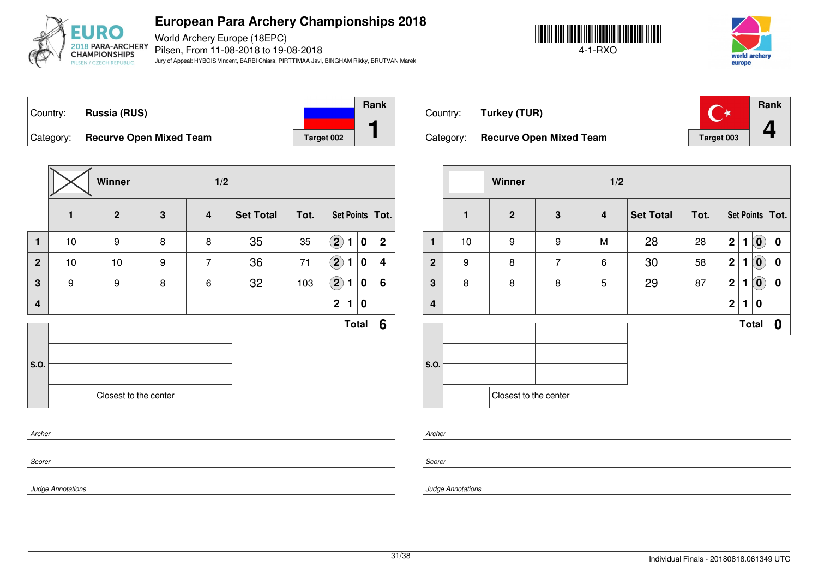

World Archery Europe (18EPC) Pilsen, From 11-08-2018 to 19-08-2018 Jury of Appeal: HYBOIS Vincent, BARBI Chiara, PIRTTIMAA Javi, BINGHAM Rikky, BRUTVAN Marek





Country: **Russia (RUS)** Category: **Recurve Open Mixed Team Target 002 Rank 1**

|                         |              | Winner                |                  | 1/2                     |                  |      |                   |   |              |                         |
|-------------------------|--------------|-----------------------|------------------|-------------------------|------------------|------|-------------------|---|--------------|-------------------------|
|                         | $\mathbf{1}$ | $\overline{2}$        | $\mathbf{3}$     | $\overline{\mathbf{4}}$ | <b>Set Total</b> | Tot. |                   |   |              | Set Points Tot.         |
| $\mathbf{1}$            | 10           | $\boldsymbol{9}$      | 8                | 8                       | 35               | 35   | $\left( 2\right)$ | 1 | 0            | $\overline{2}$          |
| $\overline{2}$          | 10           | 10                    | $\boldsymbol{9}$ | $\overline{7}$          | 36               | 71   | $\bf (2)$         | 1 | 0            | $\overline{\mathbf{4}}$ |
| $\overline{\mathbf{3}}$ | 9            | 9                     | 8                | 6                       | 32               | 103  | $\boxed{2}$       | 1 | 0            | 6                       |
| $\overline{4}$          |              |                       |                  |                         |                  |      | $\mathbf 2$       | 1 | 0            |                         |
|                         |              |                       |                  |                         |                  |      |                   |   | <b>Total</b> | 6                       |
|                         |              |                       |                  |                         |                  |      |                   |   |              |                         |
| S.O.                    |              |                       |                  |                         |                  |      |                   |   |              |                         |
|                         |              | Closest to the center |                  |                         |                  |      |                   |   |              |                         |
|                         |              |                       |                  |                         |                  |      |                   |   |              |                         |
| Archer                  |              |                       |                  |                         |                  |      |                   |   |              |                         |

| Country:  | Turkey (TUR)                   |                   | Rank |
|-----------|--------------------------------|-------------------|------|
| Category: | <b>Recurve Open Mixed Team</b> | <b>Target 003</b> |      |

|                |    | Winner                |                | 1/2 |           |      |                |              |                            |                   |
|----------------|----|-----------------------|----------------|-----|-----------|------|----------------|--------------|----------------------------|-------------------|
|                | 1  | $\mathbf{2}$          | $\mathbf 3$    | 4   | Set Total | Tot. |                |              |                            | Set Points   Tot. |
| 1              | 10 | 9                     | 9              | M   | 28        | 28   | $\overline{2}$ | 1            | $\left( \mathbf{0}\right)$ | 0                 |
| $\overline{2}$ | 9  | 8                     | $\overline{7}$ | 6   | 30        | 58   | $\overline{2}$ | $\mathbf{1}$ | $\left( \mathbf{0}\right)$ | 0                 |
| $\mathbf 3$    | 8  | 8                     | 8              | 5   | 29        | 87   | $\overline{2}$ | 1            | $\left( \mathbf{0}\right)$ | 0                 |
| $\overline{4}$ |    |                       |                |     |           |      | $\mathbf{2}$   | 1            | 0                          |                   |
|                |    |                       |                |     |           |      |                |              | <b>Total</b>               | 0                 |
|                |    |                       |                |     |           |      |                |              |                            |                   |
| S.O.           |    |                       |                |     |           |      |                |              |                            |                   |
|                |    | Closest to the center |                |     |           |      |                |              |                            |                   |

*Scorer*

*Scorer*

*Archer*

*Judge Annotations*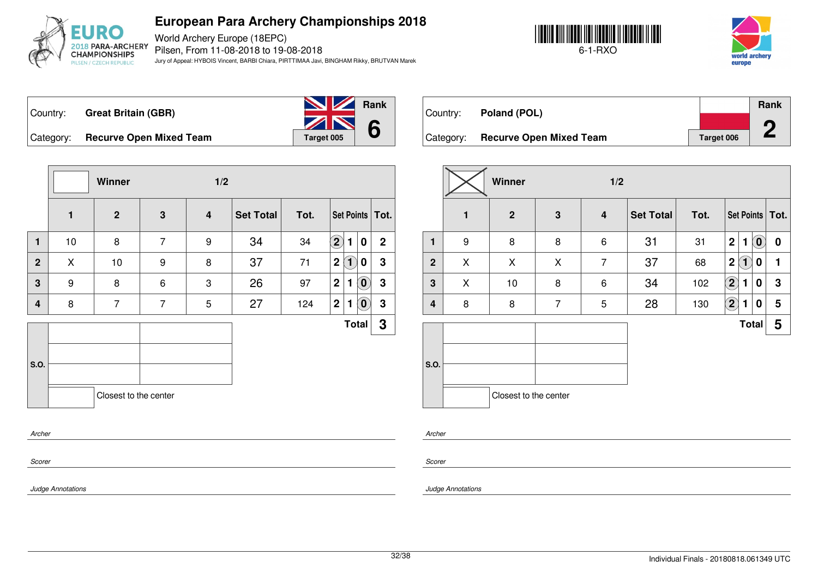

World Archery Europe (18EPC) Pilsen, From 11-08-2018 to 19-08-2018 Jury of Appeal: HYBOIS Vincent, BARBI Chiara, PIRTTIMAA Javi, BINGHAM Rikky, BRUTVAN Marek





Country: **Great Britain (GBR)**



Category: **Recurve Open Mixed Team Target 005** 

|                         |              | Winner         |                 | 1/2                     |                  |      |                |                   |                            |                   |
|-------------------------|--------------|----------------|-----------------|-------------------------|------------------|------|----------------|-------------------|----------------------------|-------------------|
|                         | $\mathbf{1}$ | $\overline{2}$ | $\mathbf{3}$    | $\overline{\mathbf{4}}$ | <b>Set Total</b> | Tot. |                |                   |                            | Set Points   Tot. |
| 1                       | 10           | 8              | $\overline{7}$  | 9                       | 34               | 34   | $\mathbf{2}$   | $\blacksquare$    | $\pmb{0}$                  | $\mathbf 2$       |
| $\overline{2}$          | X            | 10             | 9               | 8                       | 37               | 71   | $\overline{2}$ | $\left( 1\right)$ | 0                          | 3                 |
| $\overline{\mathbf{3}}$ | 9            | 8              | $6\phantom{1}6$ | 3                       | 26               | 97   | $\mathbf 2$    | 1                 | $\left( \mathbf{0}\right)$ | $\mathbf 3$       |
| $\overline{4}$          | 8            | $\overline{7}$ | $\overline{7}$  | 5                       | 27               | 124  | $\mathbf 2$    | $\mathbf{1}$      | $\left( \mathbf{0}\right)$ | $\mathbf 3$       |
|                         |              |                |                 |                         |                  |      |                |                   | <b>Total</b>               | 3                 |
|                         |              |                |                 |                         |                  |      |                |                   |                            |                   |
|                         |              |                |                 |                         |                  |      |                |                   |                            |                   |
|                         |              |                |                 |                         |                  |      |                |                   |                            |                   |
| S.O.                    |              |                |                 | Closest to the center   |                  |      |                |                   |                            |                   |
| Archer                  |              |                |                 |                         |                  |      |                |                   |                            |                   |

| Country:  | Poland (POL)                   |            | Rank |
|-----------|--------------------------------|------------|------|
| Category: | <b>Recurve Open Mixed Team</b> | Target 006 |      |
|           |                                |            |      |

|              |                  | Winner                |                | 1/2                     |                  |      |             |                             |                                                |                   |
|--------------|------------------|-----------------------|----------------|-------------------------|------------------|------|-------------|-----------------------------|------------------------------------------------|-------------------|
|              | $\mathbf{1}$     | $\mathbf{2}$          | 3              | $\overline{\mathbf{4}}$ | <b>Set Total</b> | Tot. |             |                             |                                                | Set Points   Tot. |
| 1            | $\boldsymbol{9}$ | 8                     | 8              | 6                       | 31               | 31   | $\mathbf 2$ | 1                           | $\left[ \begin{matrix} 0 \end{matrix} \right]$ | 0                 |
| $\mathbf{2}$ | X                | X                     | X              | $\overline{7}$          | 37               | 68   | $\mathbf 2$ | $\left  \mathbf{1} \right $ | 0                                              | 1                 |
| $\mathbf 3$  | X                | 10                    | 8              | $\,6$                   | 34               | 102  | $\bf (2)$   | 1                           | 0                                              | $\mathbf 3$       |
| 4            | 8                | 8                     | $\overline{7}$ | 5                       | 28               | 130  | $\bf(2)$    | 1                           | 0                                              | 5                 |
|              |                  |                       |                |                         |                  |      |             | <b>Total</b>                |                                                | 5                 |
| S.O.         |                  |                       |                |                         |                  |      |             |                             |                                                |                   |
|              |                  | Closest to the center |                |                         |                  |      |             |                             |                                                |                   |

*Scorer*

*Scorer*

*Archer*

*Judge Annotations*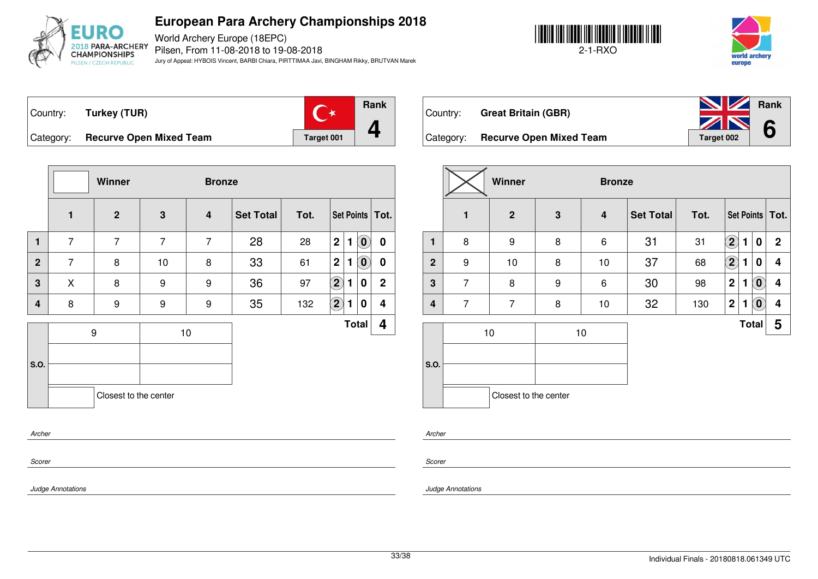

World Archery Europe (18EPC) Pilsen, From 11-08-2018 to 19-08-2018 Jury of Appeal: HYBOIS Vincent, BARBI Chiara, PIRTTIMAA Javi, BINGHAM Rikky, BRUTVAN Marek



world archery eurone





Category: **Recurve Open Mixed Team Target 001** 

|                |                | Winner                |                | <b>Bronze</b>    |                  |      |                                                           |              |
|----------------|----------------|-----------------------|----------------|------------------|------------------|------|-----------------------------------------------------------|--------------|
|                | $\mathbf{1}$   | $\overline{2}$        | $\mathbf 3$    | $\boldsymbol{4}$ | <b>Set Total</b> | Tot. | Set Points   Tot.                                         |              |
| 1              | $\overline{7}$ | $\overline{7}$        | $\overline{7}$ | $\overline{7}$   | 28               | 28   | $\mathbf 2$<br>$\left( \mathbf{0}\right)$<br>$\mathbf{1}$ | 0            |
| $\overline{2}$ | $\overline{7}$ | 8                     | 10             | 8                | 33               | 61   | 2 <br>$\mathbf{1}$<br>$\left( \mathbf{0}\right)$          | 0            |
| $\mathbf{3}$   | X              | 8                     | 9              | 9                | 36               | 97   | $\left( 2\right)$<br>1<br>0                               | $\mathbf{2}$ |
| 4              | 8              | 9                     | 9              | 9                | 35               | 132  | $\left( 2\right)$<br>1<br>0                               | 4            |
|                |                | $\boldsymbol{9}$      |                | 10               |                  |      | <b>Total</b>                                              | 4            |
| S.O.           |                | Closest to the center |                |                  |                  |      |                                                           |              |
|                |                |                       |                |                  |                  |      |                                                           |              |

| Country:  | <b>Great Britain (GBR)</b>     | <b>No. 2 Rank</b> |  |
|-----------|--------------------------------|-------------------|--|
|           |                                | 2N6               |  |
| Category: | <b>Recurve Open Mixed Team</b> | Target 002        |  |

|                |                | Winner                |   | <b>Bronze</b>   |                  |      |             |              |                    |                         |
|----------------|----------------|-----------------------|---|-----------------|------------------|------|-------------|--------------|--------------------|-------------------------|
|                | 1              | $\mathbf{2}$          | 3 | 4               | <b>Set Total</b> | Tot. |             |              |                    | Set Points   Tot.       |
| 1              | 8              | 9                     | 8 | $6\phantom{1}6$ | 31               | 31   | $\bf(2)$    | 1            | 0                  | $\mathbf 2$             |
| $\overline{2}$ | 9              | 10                    | 8 | 10              | 37               | 68   | $\bf(2)$    | 1            | 0                  | 4                       |
| 3              | $\overline{7}$ | 8                     | 9 | $\,6$           | 30               | 98   | $\mathbf 2$ | 1            | $\alpha$           | $\overline{\mathbf{4}}$ |
| $\overline{4}$ | $\overline{7}$ | $\overline{7}$        | 8 | 10              | 32               | 130  | $\mathbf 2$ | 1            | $\left( 0 \right)$ | 4                       |
| S.O.           |                | 10                    |   | 10              |                  |      |             | <b>Total</b> |                    | 5                       |
|                |                | Closest to the center |   |                 |                  |      |             |              |                    |                         |

*Archer*

*Scorer*

*Scorer*

*Archer*

*Judge Annotations*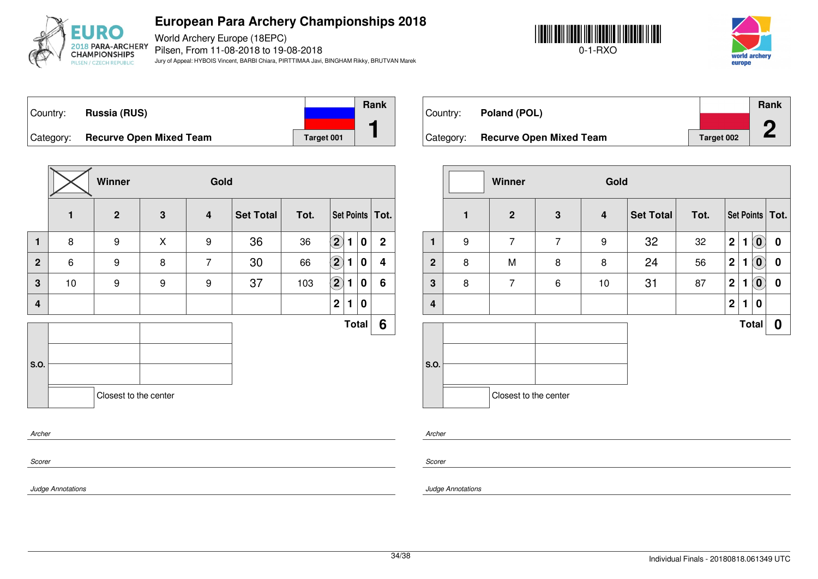

World Archery Europe (18EPC) Pilsen, From 11-08-2018 to 19-08-2018 Jury of Appeal: HYBOIS Vincent, BARBI Chiara, PIRTTIMAA Javi, BINGHAM Rikky, BRUTVAN Marek





Country: **Russia (RUS)** Category: **Recurve Open Mixed Team Target 001 Rank 1**

|                         |              | Winner                |   | Gold                    |           |      |                   |   |                  |                   |
|-------------------------|--------------|-----------------------|---|-------------------------|-----------|------|-------------------|---|------------------|-------------------|
|                         | $\mathbf{1}$ | $\overline{2}$        | 3 | $\overline{\mathbf{4}}$ | Set Total | Tot. |                   |   |                  | Set Points   Tot. |
| $\mathbf{1}$            | 8            | $\boldsymbol{9}$      | X | 9                       | 36        | 36   | $\left( 2\right)$ | 1 | $\boldsymbol{0}$ | $\mathbf{2}$      |
| $\overline{2}$          | 6            | $\boldsymbol{9}$      | 8 | $\overline{7}$          | 30        | 66   | $\left( 2\right)$ | 1 | 0                | 4                 |
| $\overline{\mathbf{3}}$ | 10           | 9                     | 9 | 9                       | 37        | 103  | $\left( 2\right)$ | 1 | 0                | 6                 |
| $\overline{4}$          |              |                       |   |                         |           |      | $\mathbf 2$       | 1 | 0                |                   |
|                         |              |                       |   |                         |           |      |                   |   | Total            | 6                 |
|                         |              |                       |   |                         |           |      |                   |   |                  |                   |
| S.O.                    |              |                       |   |                         |           |      |                   |   |                  |                   |
|                         |              | Closest to the center |   |                         |           |      |                   |   |                  |                   |
|                         | Archer       |                       |   |                         |           |      |                   |   |                  |                   |

| Country:  | Poland (POL)                   |            | Rank |
|-----------|--------------------------------|------------|------|
|           |                                |            |      |
| Category: | <b>Recurve Open Mixed Team</b> | Target 002 |      |

|              | Winner<br>Gold   |                       |                |    |                  |      |                  |              |                            |                   |
|--------------|------------------|-----------------------|----------------|----|------------------|------|------------------|--------------|----------------------------|-------------------|
|              | 1                | $\mathbf{2}$          | $\mathbf 3$    | 4  | <b>Set Total</b> | Tot. |                  |              |                            | Set Points   Tot. |
| $\mathbf{1}$ | $\boldsymbol{9}$ | $\overline{7}$        | $\overline{7}$ | 9  | 32               | 32   | $\boldsymbol{2}$ | 1            | $\left( \mathbf{0}\right)$ | $\bf{0}$          |
| $\mathbf{2}$ | 8                | M                     | 8              | 8  | 24               | 56   | $\mathbf 2$      | 1            | $\overline{0}$             | 0                 |
| $\mathbf{3}$ | 8                | $\overline{7}$        | 6              | 10 | 31               | 87   | $\mathbf 2$      | 1            | $\tilde{(\mathbf{0})}$     | $\pmb{0}$         |
| 4            |                  |                       |                |    |                  |      | $\mathbf 2$      | $\mathbf{1}$ | 0                          |                   |
|              |                  |                       |                |    |                  |      |                  |              | <b>Total</b>               | 0                 |
| S.O.         |                  | Closest to the center |                |    |                  |      |                  |              |                            |                   |

*Archer*

*Scorer*

*Judge Annotations*

*Scorer*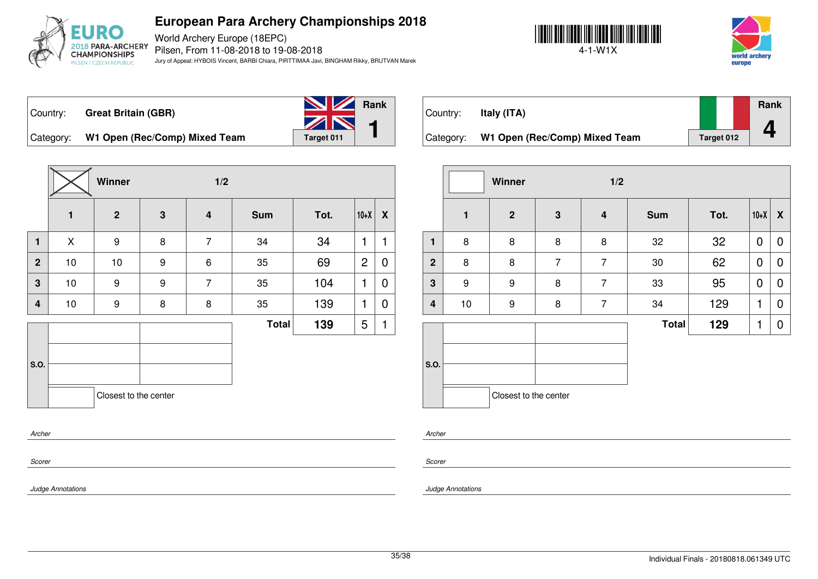

World Archery Europe (18EPC) Pilsen, From 11-08-2018 to 19-08-2018 Jury of Appeal: HYBOIS Vincent, BARBI Chiara, PIRTTIMAA Javi, BINGHAM Rikky, BRUTVAN Marek





Country: **Great Britain (GBR)**



Category: W1 Open (Rec/Comp) Mixed Team Target 011

|                |    | Winner                | 1/2 |                         |              |      |                |                           |
|----------------|----|-----------------------|-----|-------------------------|--------------|------|----------------|---------------------------|
|                | 1  | $\overline{2}$        | 3   | $\overline{\mathbf{4}}$ | <b>Sum</b>   | Tot. | $10+X$         | $\boldsymbol{\mathsf{x}}$ |
| $\mathbf{1}$   | X  | 9                     | 8   | $\overline{7}$          | 34           | 34   | 1              | 1                         |
| $\overline{2}$ | 10 | 10                    | 9   | 6                       | 35           | 69   | $\overline{c}$ | $\mathbf 0$               |
| $\overline{3}$ | 10 | 9                     | 9   | $\overline{7}$          | 35           | 104  | $\mathbf{1}$   | $\mathbf 0$               |
| 4              | 10 | 9                     | 8   | 8                       | 35           | 139  | 1              | $\mathbf 0$               |
|                |    |                       |     |                         | <b>Total</b> | 139  | 5              | 1                         |
|                |    |                       |     |                         |              |      |                |                           |
| S.O.           |    |                       |     |                         |              |      |                |                           |
|                |    | Closest to the center |     |                         |              |      |                |                           |
| Archer         |    |                       |     |                         |              |      |                |                           |

| Country:  | Italy (ITA)                   |            | Rank |
|-----------|-------------------------------|------------|------|
|           |                               |            |      |
| Category: | W1 Open (Rec/Comp) Mixed Team | Target 012 |      |

|                |              | Winner                |                | 1/2              |              |      |             |   |
|----------------|--------------|-----------------------|----------------|------------------|--------------|------|-------------|---|
|                | $\mathbf{1}$ | $\mathbf{2}$          | $\mathbf 3$    | $\boldsymbol{4}$ | <b>Sum</b>   | Tot. | $10+X$      | X |
| $\mathbf{1}$   | 8            | 8                     | 8              | 8                | 32           | 32   | $\mathbf 0$ | 0 |
| $\overline{2}$ | 8            | 8                     | $\overline{7}$ | $\overline{7}$   | 30           | 62   | $\mathbf 0$ | 0 |
| 3              | 9            | 9                     | 8              | $\overline{7}$   | 33           | 95   | $\mathbf 0$ | 0 |
| 4              | $10$         | 9                     | 8              | $\overline{7}$   | 34           | 129  | 1           | 0 |
|                |              |                       |                |                  | <b>Total</b> | 129  | 1           | 0 |
| S.O.           |              |                       |                |                  |              |      |             |   |
|                |              | Closest to the center |                |                  |              |      |             |   |

*Archer*

*Scorer*

*Judge Annotations*

*Scorer*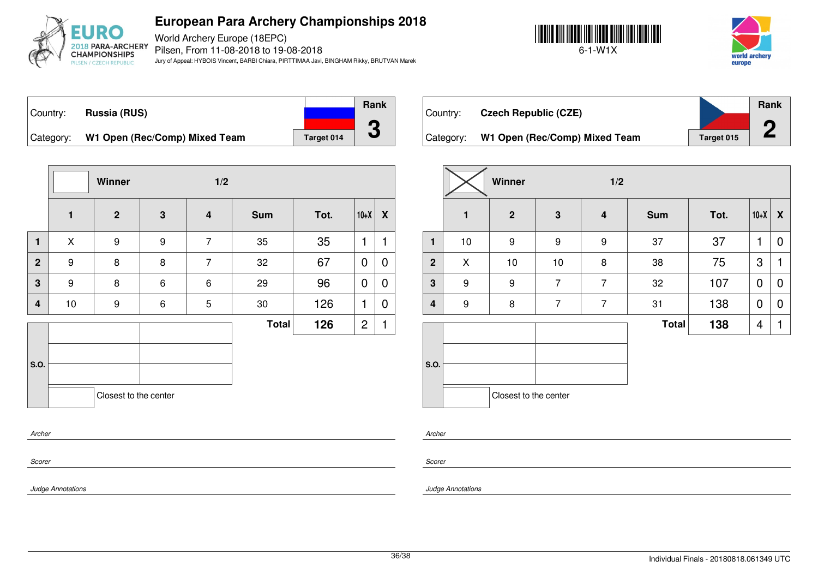

World Archery Europe (18EPC) Pilsen, From 11-08-2018 to 19-08-2018 Jury of Appeal: HYBOIS Vincent, BARBI Chiara, PIRTTIMAA Javi, BINGHAM Rikky, BRUTVAN Marek





Country: **Russia (RUS)** Category: W1 Open (Rec/Comp) Mixed Team | Target 014 **Rank 3**

**Winner 1/2 1 2 3 4 Sum Tot. 10+X X 1** | X | 9 | 9 | 7 | 35 | 35 |1 |1 **2** | 9 | 8 | 8 | 7 | 32 | 67 |<code>0|O</code> **3** | 9 | 8 | 6 | 6 | 29 | 96 |<code>O|O</code> **4** | 10 | 9 | 6 | 5 | 30 | 126 |1 | 0 **S.O. Total 126**  $|2|1$ Closest to the center

| Country:  | <b>Czech Republic (CZE)</b>   |            | <b>Rank</b> |
|-----------|-------------------------------|------------|-------------|
| Category: | W1 Open (Rec/Comp) Mixed Team | Target 015 |             |

|                         |              | Winner                |                | 1/2                     |              |      |                |                  |
|-------------------------|--------------|-----------------------|----------------|-------------------------|--------------|------|----------------|------------------|
|                         | $\mathbf{1}$ | $\overline{2}$        | 3              | $\overline{\mathbf{4}}$ | <b>Sum</b>   | Tot. | $10+X$         | $\boldsymbol{X}$ |
| $\mathbf{1}$            | 10           | $\boldsymbol{9}$      | 9              | 9                       | 37           | 37   | 1              | 0                |
| $\overline{2}$          | X            | 10                    | 10             | 8                       | 38           | 75   | 3              | 1                |
| 3                       | 9            | $\boldsymbol{9}$      | $\overline{7}$ | $\overline{7}$          | 32           | 107  | $\overline{0}$ | $\mathbf 0$      |
| $\overline{\mathbf{4}}$ | 9            | 8                     | $\overline{7}$ | $\overline{7}$          | 31           | 138  | 0              | 0                |
|                         |              |                       |                |                         | <b>Total</b> | 138  | 4              | 1                |
| S.O.                    |              |                       |                |                         |              |      |                |                  |
|                         |              | Closest to the center |                |                         |              |      |                |                  |

*Archer*

*Scorer*

*Scorer*

*Archer*

*Judge Annotations*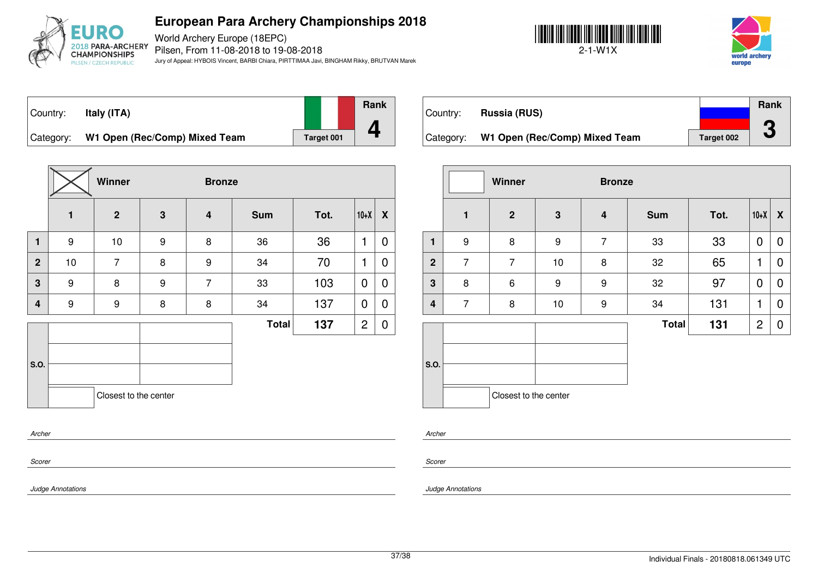

World Archery Europe (18EPC) Pilsen, From 11-08-2018 to 19-08-2018 Jury of Appeal: HYBOIS Vincent, BARBI Chiara, PIRTTIMAA Javi, BINGHAM Rikky, BRUTVAN Marek





#### Country: **Italy (ITA)**

**Rank**

**4**

Category: W1 Open (Rec/Comp) Mixed Team and Target 001

|                  |              | Winner                |                  | <b>Bronze</b>           |              |      |                |                  |
|------------------|--------------|-----------------------|------------------|-------------------------|--------------|------|----------------|------------------|
|                  | $\mathbf{1}$ | $\overline{2}$        | $\mathbf{3}$     | $\overline{\mathbf{4}}$ | <b>Sum</b>   | Tot. | $10+X$         | $\boldsymbol{X}$ |
| $\mathbf{1}$     | 9            | 10                    | 9                | 8                       | 36           | 36   | 1              | 0                |
| $\overline{2}$   | 10           | $\overline{7}$        | 8                | 9                       | 34           | 70   | 1              | 0                |
| 3                | 9            | 8                     | $\boldsymbol{9}$ | $\overline{7}$          | 33           | 103  | 0              | 0                |
| $\boldsymbol{4}$ | 9            | 9                     | 8                | 8                       | 34           | 137  | 0              | 0                |
|                  |              |                       |                  |                         | <b>Total</b> | 137  | $\overline{c}$ | 0                |
|                  |              |                       |                  |                         |              |      |                |                  |
| <b>S.O.</b>      |              |                       |                  |                         |              |      |                |                  |
|                  |              |                       |                  |                         |              |      |                |                  |
|                  |              | Closest to the center |                  |                         |              |      |                |                  |

|           |                               |            | Rank      |
|-----------|-------------------------------|------------|-----------|
| Country:  | Russia (RUS)                  |            |           |
|           |                               |            | ◚         |
| Category: | W1 Open (Rec/Comp) Mixed Team | Target 002 | $\bullet$ |

|                         | Winner<br><b>Bronze</b> |                       |                  |                  |              |      |                |   |
|-------------------------|-------------------------|-----------------------|------------------|------------------|--------------|------|----------------|---|
|                         | 1                       | $\mathbf{2}$          | $\mathbf 3$      | $\boldsymbol{4}$ | <b>Sum</b>   | Tot. | $10+X$         | X |
| 1                       | 9                       | 8                     | $\boldsymbol{9}$ | $\overline{7}$   | 33           | 33   | 0              | 0 |
| $\mathbf{2}$            | $\overline{7}$          | $\overline{7}$        | 10               | 8                | 32           | 65   | 1              | 0 |
| $\mathbf 3$             | 8                       | 6                     | 9                | $\boldsymbol{9}$ | 32           | 97   | $\mathbf 0$    | 0 |
| $\overline{\mathbf{4}}$ | $\overline{7}$          | 8                     | 10               | 9                | 34           | 131  | 1              | 0 |
|                         |                         |                       |                  |                  | <b>Total</b> | 131  | $\overline{2}$ | 0 |
| S.O.                    |                         | Closest to the center |                  |                  |              |      |                |   |

*Archer*

*Scorer*

*Scorer*

*Archer*

*Judge Annotations*